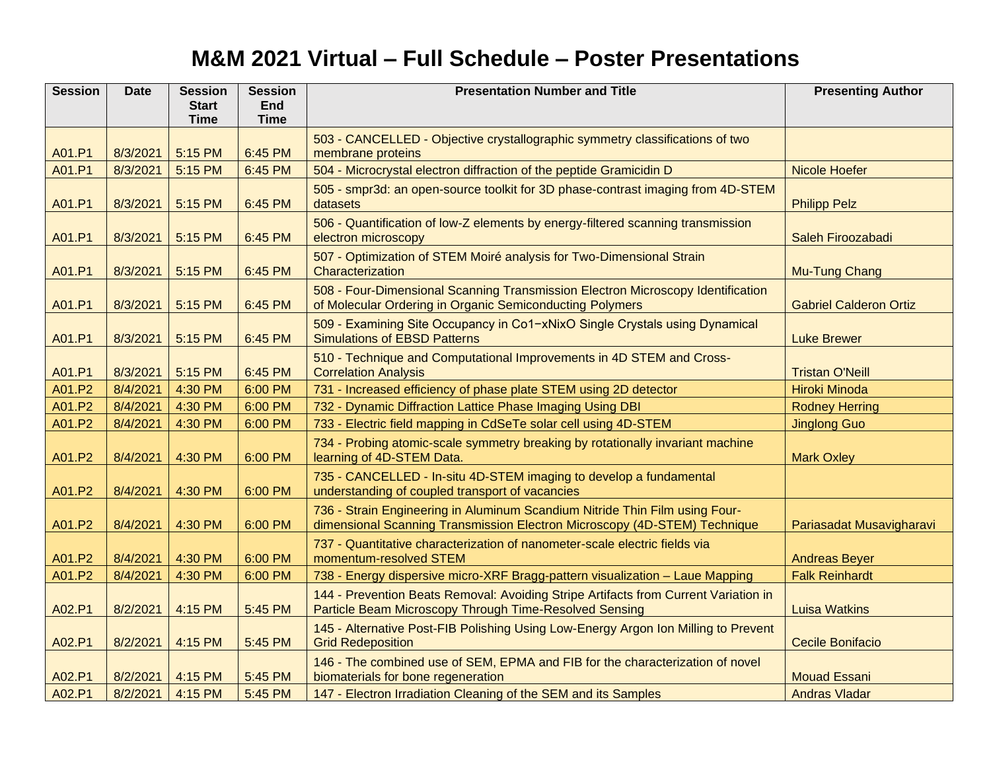## **M&M 2021 Virtual – Full Schedule – Poster Presentations**

| <b>Session</b> | <b>Date</b> | <b>Session</b>              | <b>Session</b> | <b>Presentation Number and Title</b>                                                                                                                     | <b>Presenting Author</b>      |
|----------------|-------------|-----------------------------|----------------|----------------------------------------------------------------------------------------------------------------------------------------------------------|-------------------------------|
|                |             | <b>Start</b><br><b>Time</b> | <b>End</b>     |                                                                                                                                                          |                               |
|                |             |                             | <b>Time</b>    |                                                                                                                                                          |                               |
| A01.P1         | 8/3/2021    | 5:15 PM                     | 6:45 PM        | 503 - CANCELLED - Objective crystallographic symmetry classifications of two<br>membrane proteins                                                        |                               |
| A01.P1         | 8/3/2021    | 5:15 PM                     | 6:45 PM        | 504 - Microcrystal electron diffraction of the peptide Gramicidin D                                                                                      | <b>Nicole Hoefer</b>          |
| A01.P1         | 8/3/2021    | 5:15 PM                     | 6:45 PM        | 505 - smpr3d: an open-source toolkit for 3D phase-contrast imaging from 4D-STEM<br>datasets                                                              | <b>Philipp Pelz</b>           |
| A01.P1         | 8/3/2021    | 5:15 PM                     | 6:45 PM        | 506 - Quantification of low-Z elements by energy-filtered scanning transmission<br>electron microscopy                                                   | Saleh Firoozabadi             |
| A01.P1         | 8/3/2021    | 5:15 PM                     | 6:45 PM        | 507 - Optimization of STEM Moiré analysis for Two-Dimensional Strain<br>Characterization                                                                 | <b>Mu-Tung Chang</b>          |
| A01.P1         | 8/3/2021    | 5:15 PM                     | 6:45 PM        | 508 - Four-Dimensional Scanning Transmission Electron Microscopy Identification<br>of Molecular Ordering in Organic Semiconducting Polymers              | <b>Gabriel Calderon Ortiz</b> |
| A01.P1         | 8/3/2021    | 5:15 PM                     | 6:45 PM        | 509 - Examining Site Occupancy in Co1-xNixO Single Crystals using Dynamical<br><b>Simulations of EBSD Patterns</b>                                       | <b>Luke Brewer</b>            |
| A01.P1         | 8/3/2021    | 5:15 PM                     | 6:45 PM        | 510 - Technique and Computational Improvements in 4D STEM and Cross-<br><b>Correlation Analysis</b>                                                      | <b>Tristan O'Neill</b>        |
| A01.P2         | 8/4/2021    | 4:30 PM                     | 6:00 PM        | 731 - Increased efficiency of phase plate STEM using 2D detector                                                                                         | Hiroki Minoda                 |
| A01.P2         | 8/4/2021    | 4:30 PM                     | 6:00 PM        | 732 - Dynamic Diffraction Lattice Phase Imaging Using DBI                                                                                                | <b>Rodney Herring</b>         |
| A01.P2         | 8/4/2021    | 4:30 PM                     | 6:00 PM        | 733 - Electric field mapping in CdSeTe solar cell using 4D-STEM                                                                                          | <b>Jinglong Guo</b>           |
| A01.P2         | 8/4/2021    | 4:30 PM                     | 6:00 PM        | 734 - Probing atomic-scale symmetry breaking by rotationally invariant machine<br>learning of 4D-STEM Data.                                              | <b>Mark Oxley</b>             |
| A01.P2         | 8/4/2021    | 4:30 PM                     | 6:00 PM        | 735 - CANCELLED - In-situ 4D-STEM imaging to develop a fundamental<br>understanding of coupled transport of vacancies                                    |                               |
| A01.P2         | 8/4/2021    | 4:30 PM                     | 6:00 PM        | 736 - Strain Engineering in Aluminum Scandium Nitride Thin Film using Four-<br>dimensional Scanning Transmission Electron Microscopy (4D-STEM) Technique | Pariasadat Musavigharavi      |
| A01.P2         | 8/4/2021    | 4:30 PM                     | 6:00 PM        | 737 - Quantitative characterization of nanometer-scale electric fields via<br>momentum-resolved STEM                                                     | <b>Andreas Beyer</b>          |
| A01.P2         | 8/4/2021    | 4:30 PM                     | 6:00 PM        | 738 - Energy dispersive micro-XRF Bragg-pattern visualization - Laue Mapping                                                                             | <b>Falk Reinhardt</b>         |
| A02.P1         | 8/2/2021    | 4:15 PM                     | 5:45 PM        | 144 - Prevention Beats Removal: Avoiding Stripe Artifacts from Current Variation in<br>Particle Beam Microscopy Through Time-Resolved Sensing            | <b>Luisa Watkins</b>          |
| A02.P1         | 8/2/2021    | 4:15 PM                     | 5:45 PM        | 145 - Alternative Post-FIB Polishing Using Low-Energy Argon Ion Milling to Prevent<br><b>Grid Redeposition</b>                                           | <b>Cecile Bonifacio</b>       |
| A02.P1         | 8/2/2021    | 4:15 PM                     | 5:45 PM        | 146 - The combined use of SEM, EPMA and FIB for the characterization of novel<br>biomaterials for bone regeneration                                      | <b>Mouad Essani</b>           |
| A02.P1         | 8/2/2021    | 4:15 PM                     | 5:45 PM        | 147 - Electron Irradiation Cleaning of the SEM and its Samples                                                                                           | <b>Andras Vladar</b>          |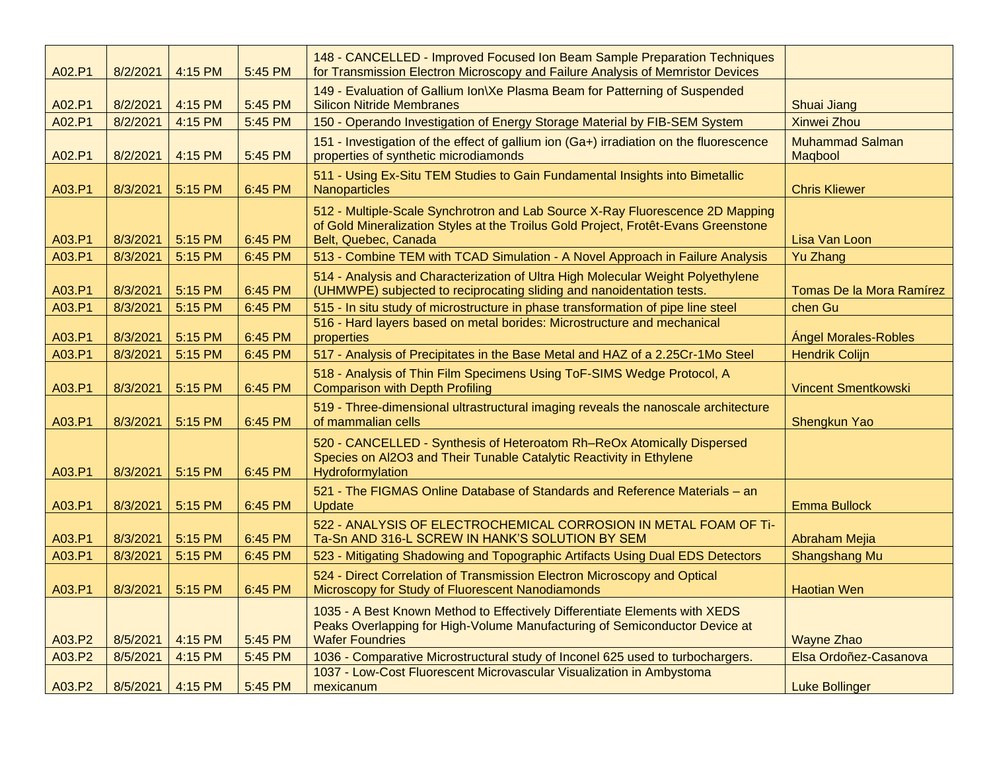| A02.P1 | 8/2/2021 | 4:15 PM | 5:45 PM | 148 - CANCELLED - Improved Focused Ion Beam Sample Preparation Techniques<br>for Transmission Electron Microscopy and Failure Analysis of Memristor Devices                                 |                                   |
|--------|----------|---------|---------|---------------------------------------------------------------------------------------------------------------------------------------------------------------------------------------------|-----------------------------------|
| A02.P1 | 8/2/2021 | 4:15 PM | 5:45 PM | 149 - Evaluation of Gallium Ion\Xe Plasma Beam for Patterning of Suspended<br><b>Silicon Nitride Membranes</b>                                                                              | <b>Shuai Jiang</b>                |
| A02.P1 | 8/2/2021 | 4:15 PM | 5:45 PM | 150 - Operando Investigation of Energy Storage Material by FIB-SEM System                                                                                                                   | <b>Xinwei Zhou</b>                |
| A02.P1 | 8/2/2021 | 4:15 PM | 5:45 PM | 151 - Investigation of the effect of gallium ion (Ga+) irradiation on the fluorescence<br>properties of synthetic microdiamonds                                                             | <b>Muhammad Salman</b><br>Magbool |
| A03.P1 | 8/3/2021 | 5:15 PM | 6:45 PM | 511 - Using Ex-Situ TEM Studies to Gain Fundamental Insights into Bimetallic<br>Nanoparticles                                                                                               | <b>Chris Kliewer</b>              |
| A03.P1 | 8/3/2021 | 5:15 PM | 6:45 PM | 512 - Multiple-Scale Synchrotron and Lab Source X-Ray Fluorescence 2D Mapping<br>of Gold Mineralization Styles at the Troilus Gold Project, Frotêt-Evans Greenstone<br>Belt, Quebec, Canada | Lisa Van Loon                     |
| A03.P1 | 8/3/2021 | 5:15 PM | 6:45 PM | 513 - Combine TEM with TCAD Simulation - A Novel Approach in Failure Analysis                                                                                                               | <b>Yu Zhang</b>                   |
| A03.P1 | 8/3/2021 | 5:15 PM | 6:45 PM | 514 - Analysis and Characterization of Ultra High Molecular Weight Polyethylene<br>(UHMWPE) subjected to reciprocating sliding and nanoidentation tests.                                    | Tomas De la Mora Ramírez          |
| A03.P1 | 8/3/2021 | 5:15 PM | 6:45 PM | 515 - In situ study of microstructure in phase transformation of pipe line steel                                                                                                            | chen Gu                           |
| A03.P1 | 8/3/2021 | 5:15 PM | 6:45 PM | 516 - Hard layers based on metal borides: Microstructure and mechanical<br>properties                                                                                                       | <b>Ángel Morales-Robles</b>       |
| A03.P1 | 8/3/2021 | 5:15 PM | 6:45 PM | 517 - Analysis of Precipitates in the Base Metal and HAZ of a 2.25Cr-1Mo Steel                                                                                                              | <b>Hendrik Colijn</b>             |
| A03.P1 | 8/3/2021 | 5:15 PM | 6:45 PM | 518 - Analysis of Thin Film Specimens Using ToF-SIMS Wedge Protocol, A<br><b>Comparison with Depth Profiling</b>                                                                            | <b>Vincent Smentkowski</b>        |
| A03.P1 | 8/3/2021 | 5:15 PM | 6:45 PM | 519 - Three-dimensional ultrastructural imaging reveals the nanoscale architecture<br>of mammalian cells                                                                                    | Shengkun Yao                      |
| A03.P1 | 8/3/2021 | 5:15 PM | 6:45 PM | 520 - CANCELLED - Synthesis of Heteroatom Rh-ReOx Atomically Dispersed<br>Species on Al2O3 and Their Tunable Catalytic Reactivity in Ethylene<br>Hydroformylation                           |                                   |
| A03.P1 | 8/3/2021 | 5:15 PM | 6:45 PM | 521 - The FIGMAS Online Database of Standards and Reference Materials - an<br><b>Update</b>                                                                                                 | <b>Emma Bullock</b>               |
| A03.P1 | 8/3/2021 | 5:15 PM | 6:45 PM | 522 - ANALYSIS OF ELECTROCHEMICAL CORROSION IN METAL FOAM OF Ti-<br>Ta-Sn AND 316-L SCREW IN HANK'S SOLUTION BY SEM                                                                         | <b>Abraham Mejia</b>              |
| A03.P1 | 8/3/2021 | 5:15 PM | 6:45 PM | 523 - Mitigating Shadowing and Topographic Artifacts Using Dual EDS Detectors                                                                                                               | Shangshang Mu                     |
| A03.P1 | 8/3/2021 | 5:15 PM | 6:45 PM | 524 - Direct Correlation of Transmission Electron Microscopy and Optical<br>Microscopy for Study of Fluorescent Nanodiamonds                                                                | <b>Haotian Wen</b>                |
| A03.P2 | 8/5/2021 | 4:15 PM | 5:45 PM | 1035 - A Best Known Method to Effectively Differentiate Elements with XEDS<br>Peaks Overlapping for High-Volume Manufacturing of Semiconductor Device at<br><b>Wafer Foundries</b>          | <b>Wayne Zhao</b>                 |
| A03.P2 | 8/5/2021 | 4:15 PM | 5:45 PM | 1036 - Comparative Microstructural study of Inconel 625 used to turbochargers.                                                                                                              | Elsa Ordoñez-Casanova             |
| A03.P2 | 8/5/2021 | 4:15 PM | 5:45 PM | 1037 - Low-Cost Fluorescent Microvascular Visualization in Ambystoma<br>mexicanum                                                                                                           | <b>Luke Bollinger</b>             |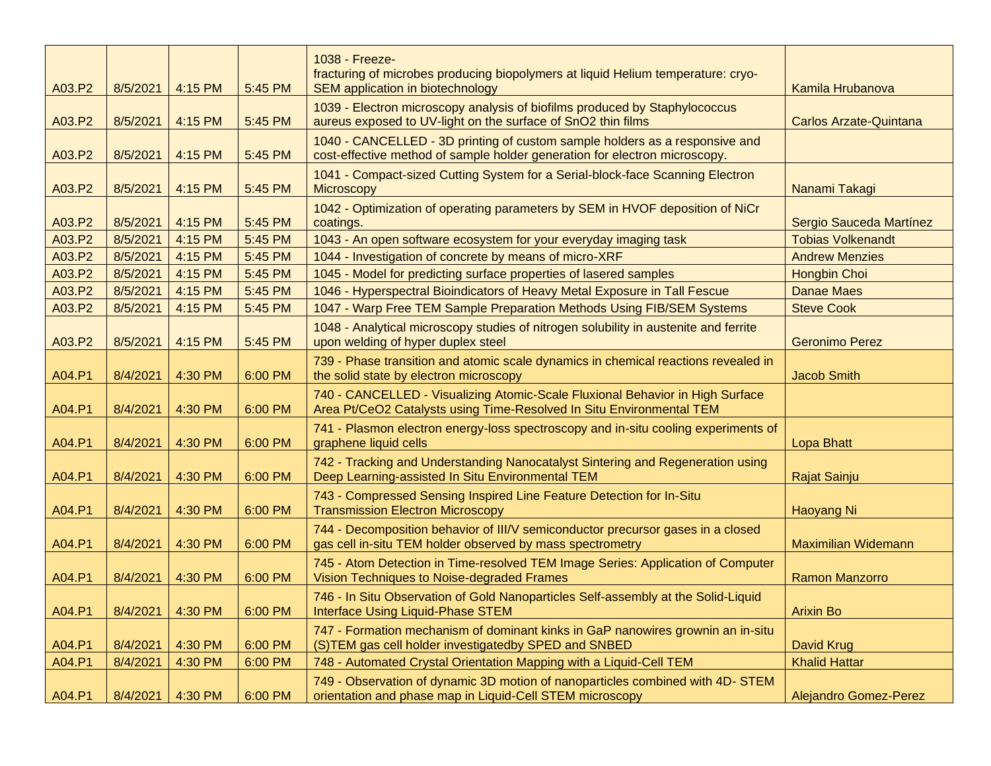| A03.P2 | 8/5/2021 | 4:15 PM | 5:45 PM | 1038 - Freeze-<br>fracturing of microbes producing biopolymers at liquid Helium temperature: cryo-<br><b>SEM application in biotechnology</b>             | Kamila Hrubanova              |
|--------|----------|---------|---------|-----------------------------------------------------------------------------------------------------------------------------------------------------------|-------------------------------|
| A03.P2 | 8/5/2021 | 4:15 PM | 5:45 PM | 1039 - Electron microscopy analysis of biofilms produced by Staphylococcus<br>aureus exposed to UV-light on the surface of SnO2 thin films                | <b>Carlos Arzate-Quintana</b> |
| A03.P2 | 8/5/2021 | 4:15 PM | 5:45 PM | 1040 - CANCELLED - 3D printing of custom sample holders as a responsive and<br>cost-effective method of sample holder generation for electron microscopy. |                               |
| A03.P2 | 8/5/2021 | 4:15 PM | 5:45 PM | 1041 - Compact-sized Cutting System for a Serial-block-face Scanning Electron<br><b>Microscopy</b>                                                        | Nanami Takagi                 |
| A03.P2 | 8/5/2021 | 4:15 PM | 5:45 PM | 1042 - Optimization of operating parameters by SEM in HVOF deposition of NiCr<br>coatings.                                                                | Sergio Sauceda Martínez       |
| A03.P2 | 8/5/2021 | 4:15 PM | 5:45 PM | 1043 - An open software ecosystem for your everyday imaging task                                                                                          | <b>Tobias Volkenandt</b>      |
| A03.P2 | 8/5/2021 | 4:15 PM | 5:45 PM | 1044 - Investigation of concrete by means of micro-XRF                                                                                                    | <b>Andrew Menzies</b>         |
| A03.P2 | 8/5/2021 | 4:15 PM | 5:45 PM | 1045 - Model for predicting surface properties of lasered samples                                                                                         | <b>Hongbin Choi</b>           |
| A03.P2 | 8/5/2021 | 4:15 PM | 5:45 PM | 1046 - Hyperspectral Bioindicators of Heavy Metal Exposure in Tall Fescue                                                                                 | <b>Danae Maes</b>             |
| A03.P2 | 8/5/2021 | 4:15 PM | 5:45 PM | 1047 - Warp Free TEM Sample Preparation Methods Using FIB/SEM Systems                                                                                     | <b>Steve Cook</b>             |
| A03.P2 | 8/5/2021 | 4:15 PM | 5:45 PM | 1048 - Analytical microscopy studies of nitrogen solubility in austenite and ferrite<br>upon welding of hyper duplex steel                                | <b>Geronimo Perez</b>         |
| A04.P1 | 8/4/2021 | 4:30 PM | 6:00 PM | 739 - Phase transition and atomic scale dynamics in chemical reactions revealed in<br>the solid state by electron microscopy                              | <b>Jacob Smith</b>            |
| A04.P1 | 8/4/2021 | 4:30 PM | 6:00 PM | 740 - CANCELLED - Visualizing Atomic-Scale Fluxional Behavior in High Surface<br>Area Pt/CeO2 Catalysts using Time-Resolved In Situ Environmental TEM     |                               |
| A04.P1 | 8/4/2021 | 4:30 PM | 6:00 PM | 741 - Plasmon electron energy-loss spectroscopy and in-situ cooling experiments of<br>graphene liquid cells                                               | <b>Lopa Bhatt</b>             |
| A04.P1 | 8/4/2021 | 4:30 PM | 6:00 PM | 742 - Tracking and Understanding Nanocatalyst Sintering and Regeneration using<br>Deep Learning-assisted In Situ Environmental TEM                        | Rajat Sainju                  |
| A04.P1 | 8/4/2021 | 4:30 PM | 6:00 PM | 743 - Compressed Sensing Inspired Line Feature Detection for In-Situ<br><b>Transmission Electron Microscopy</b>                                           | <b>Haoyang Ni</b>             |
| A04.P1 | 8/4/2021 | 4:30 PM | 6:00 PM | 744 - Decomposition behavior of III/V semiconductor precursor gases in a closed<br>gas cell in-situ TEM holder observed by mass spectrometry              | <b>Maximilian Widemann</b>    |
| A04.P1 | 8/4/2021 | 4:30 PM | 6:00 PM | 745 - Atom Detection in Time-resolved TEM Image Series: Application of Computer<br>Vision Techniques to Noise-degraded Frames                             | <b>Ramon Manzorro</b>         |
| A04.P1 | 8/4/2021 | 4:30 PM | 6:00 PM | 746 - In Situ Observation of Gold Nanoparticles Self-assembly at the Solid-Liquid<br>Interface Using Liquid-Phase STEM                                    | <b>Arixin Bo</b>              |
| A04.P1 | 8/4/2021 | 4:30 PM | 6:00 PM | 747 - Formation mechanism of dominant kinks in GaP nanowires grownin an in-situ<br>(S)TEM gas cell holder investigatedby SPED and SNBED                   | David Krug                    |
| A04.P1 | 8/4/2021 | 4:30 PM | 6:00 PM | 748 - Automated Crystal Orientation Mapping with a Liquid-Cell TEM                                                                                        | <b>Khalid Hattar</b>          |
| A04.P1 | 8/4/2021 | 4:30 PM | 6:00 PM | 749 - Observation of dynamic 3D motion of nanoparticles combined with 4D- STEM<br>orientation and phase map in Liquid-Cell STEM microscopy                | <b>Alejandro Gomez-Perez</b>  |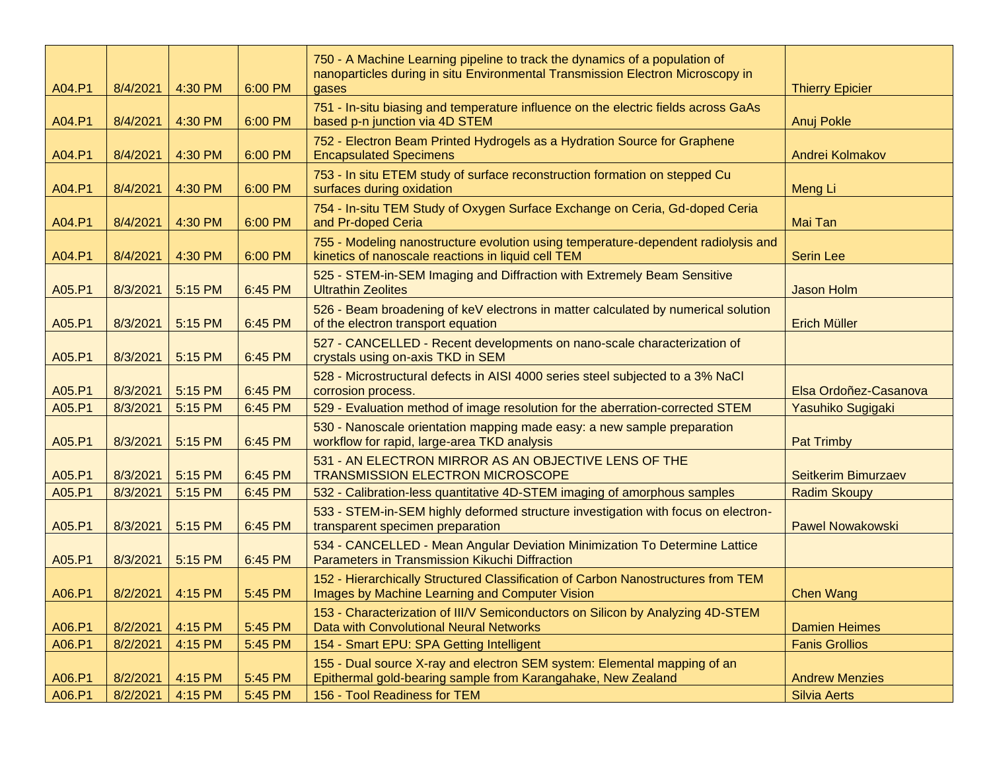| A04.P1 | 8/4/2021 | 4:30 PM | 6:00 PM | 750 - A Machine Learning pipeline to track the dynamics of a population of<br>nanoparticles during in situ Environmental Transmission Electron Microscopy in<br>gases | <b>Thierry Epicier</b>  |
|--------|----------|---------|---------|-----------------------------------------------------------------------------------------------------------------------------------------------------------------------|-------------------------|
| A04.P1 | 8/4/2021 | 4:30 PM | 6:00 PM | 751 - In-situ biasing and temperature influence on the electric fields across GaAs<br>based p-n junction via 4D STEM                                                  | <b>Anuj Pokle</b>       |
| A04.P1 | 8/4/2021 | 4:30 PM | 6:00 PM | 752 - Electron Beam Printed Hydrogels as a Hydration Source for Graphene<br><b>Encapsulated Specimens</b>                                                             | Andrei Kolmakov         |
| A04.P1 | 8/4/2021 | 4:30 PM | 6:00 PM | 753 - In situ ETEM study of surface reconstruction formation on stepped Cu<br>surfaces during oxidation                                                               | Meng Li                 |
| A04.P1 | 8/4/2021 | 4:30 PM | 6:00 PM | 754 - In-situ TEM Study of Oxygen Surface Exchange on Ceria, Gd-doped Ceria<br>and Pr-doped Ceria                                                                     | Mai Tan                 |
| A04.P1 | 8/4/2021 | 4:30 PM | 6:00 PM | 755 - Modeling nanostructure evolution using temperature-dependent radiolysis and<br>kinetics of nanoscale reactions in liquid cell TEM                               | <b>Serin Lee</b>        |
| A05.P1 | 8/3/2021 | 5:15 PM | 6:45 PM | 525 - STEM-in-SEM Imaging and Diffraction with Extremely Beam Sensitive<br><b>Ultrathin Zeolites</b>                                                                  | <b>Jason Holm</b>       |
| A05.P1 | 8/3/2021 | 5:15 PM | 6:45 PM | 526 - Beam broadening of keV electrons in matter calculated by numerical solution<br>of the electron transport equation                                               | <b>Erich Müller</b>     |
| A05.P1 | 8/3/2021 | 5:15 PM | 6:45 PM | 527 - CANCELLED - Recent developments on nano-scale characterization of<br>crystals using on-axis TKD in SEM                                                          |                         |
| A05.P1 | 8/3/2021 | 5:15 PM | 6:45 PM | 528 - Microstructural defects in AISI 4000 series steel subjected to a 3% NaCI<br>corrosion process.                                                                  | Elsa Ordoñez-Casanova   |
| A05.P1 | 8/3/2021 | 5:15 PM | 6:45 PM | 529 - Evaluation method of image resolution for the aberration-corrected STEM                                                                                         | Yasuhiko Sugigaki       |
| A05.P1 | 8/3/2021 | 5:15 PM | 6:45 PM | 530 - Nanoscale orientation mapping made easy: a new sample preparation<br>workflow for rapid, large-area TKD analysis                                                | <b>Pat Trimby</b>       |
| A05.P1 | 8/3/2021 | 5:15 PM | 6:45 PM | 531 - AN ELECTRON MIRROR AS AN OBJECTIVE LENS OF THE<br><b>TRANSMISSION ELECTRON MICROSCOPE</b>                                                                       | Seitkerim Bimurzaev     |
| A05.P1 | 8/3/2021 | 5:15 PM | 6:45 PM | 532 - Calibration-less quantitative 4D-STEM imaging of amorphous samples                                                                                              | <b>Radim Skoupy</b>     |
| A05.P1 | 8/3/2021 | 5:15 PM | 6:45 PM | 533 - STEM-in-SEM highly deformed structure investigation with focus on electron-<br>transparent specimen preparation                                                 | <b>Pawel Nowakowski</b> |
| A05.P1 | 8/3/2021 | 5:15 PM | 6:45 PM | 534 - CANCELLED - Mean Angular Deviation Minimization To Determine Lattice<br>Parameters in Transmission Kikuchi Diffraction                                          |                         |
| A06.P1 | 8/2/2021 | 4:15 PM | 5:45 PM | 152 - Hierarchically Structured Classification of Carbon Nanostructures from TEM<br>Images by Machine Learning and Computer Vision                                    | <b>Chen Wang</b>        |
| A06.P1 | 8/2/2021 | 4:15 PM | 5:45 PM | 153 - Characterization of III/V Semiconductors on Silicon by Analyzing 4D-STEM<br>Data with Convolutional Neural Networks                                             | <b>Damien Heimes</b>    |
| A06.P1 | 8/2/2021 | 4:15 PM | 5:45 PM | 154 - Smart EPU: SPA Getting Intelligent                                                                                                                              | <b>Fanis Grollios</b>   |
| A06.P1 | 8/2/2021 | 4:15 PM | 5:45 PM | 155 - Dual source X-ray and electron SEM system: Elemental mapping of an<br>Epithermal gold-bearing sample from Karangahake, New Zealand                              | <b>Andrew Menzies</b>   |
| A06.P1 | 8/2/2021 | 4:15 PM | 5:45 PM | 156 - Tool Readiness for TEM                                                                                                                                          | <b>Silvia Aerts</b>     |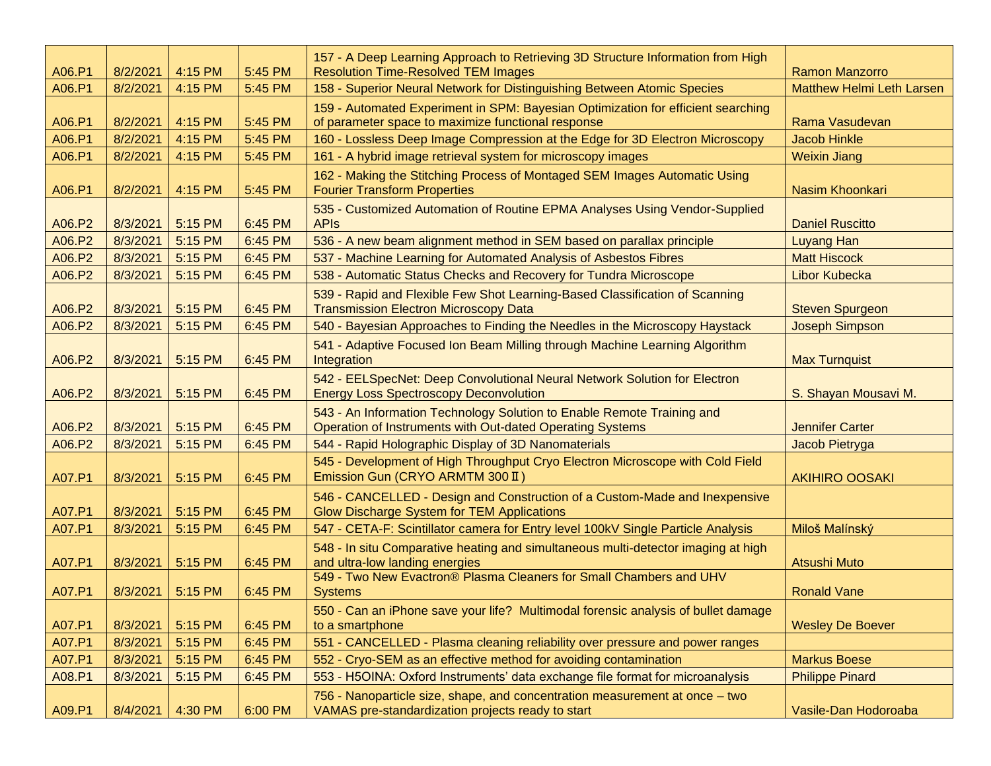| A06.P1 | 8/2/2021 | 4:15 PM | 5:45 PM | 157 - A Deep Learning Approach to Retrieving 3D Structure Information from High<br><b>Resolution Time-Resolved TEM Images</b>          | <b>Ramon Manzorro</b>            |
|--------|----------|---------|---------|----------------------------------------------------------------------------------------------------------------------------------------|----------------------------------|
| A06.P1 | 8/2/2021 | 4:15 PM | 5:45 PM | 158 - Superior Neural Network for Distinguishing Between Atomic Species                                                                | <b>Matthew Helmi Leth Larsen</b> |
| A06.P1 | 8/2/2021 | 4:15 PM | 5:45 PM | 159 - Automated Experiment in SPM: Bayesian Optimization for efficient searching<br>of parameter space to maximize functional response | Rama Vasudevan                   |
| A06.P1 | 8/2/2021 | 4:15 PM | 5:45 PM | 160 - Lossless Deep Image Compression at the Edge for 3D Electron Microscopy                                                           | <b>Jacob Hinkle</b>              |
| A06.P1 | 8/2/2021 | 4:15 PM | 5:45 PM | 161 - A hybrid image retrieval system for microscopy images                                                                            | <b>Weixin Jiang</b>              |
| A06.P1 | 8/2/2021 | 4:15 PM | 5:45 PM | 162 - Making the Stitching Process of Montaged SEM Images Automatic Using<br><b>Fourier Transform Properties</b>                       | Nasim Khoonkari                  |
| A06.P2 | 8/3/2021 | 5:15 PM | 6:45 PM | 535 - Customized Automation of Routine EPMA Analyses Using Vendor-Supplied<br><b>APIs</b>                                              | <b>Daniel Ruscitto</b>           |
| A06.P2 | 8/3/2021 | 5:15 PM | 6:45 PM | 536 - A new beam alignment method in SEM based on parallax principle                                                                   | <b>Luyang Han</b>                |
| A06.P2 | 8/3/2021 | 5:15 PM | 6:45 PM | 537 - Machine Learning for Automated Analysis of Asbestos Fibres                                                                       | <b>Matt Hiscock</b>              |
| A06.P2 | 8/3/2021 | 5:15 PM | 6:45 PM | 538 - Automatic Status Checks and Recovery for Tundra Microscope                                                                       | <b>Libor Kubecka</b>             |
| A06.P2 | 8/3/2021 | 5:15 PM | 6:45 PM | 539 - Rapid and Flexible Few Shot Learning-Based Classification of Scanning<br><b>Transmission Electron Microscopy Data</b>            | <b>Steven Spurgeon</b>           |
| A06.P2 | 8/3/2021 | 5:15 PM | 6:45 PM | 540 - Bayesian Approaches to Finding the Needles in the Microscopy Haystack                                                            | <b>Joseph Simpson</b>            |
| A06.P2 | 8/3/2021 | 5:15 PM | 6:45 PM | 541 - Adaptive Focused Ion Beam Milling through Machine Learning Algorithm<br>Integration                                              | <b>Max Turnquist</b>             |
| A06.P2 | 8/3/2021 | 5:15 PM | 6:45 PM | 542 - EELSpecNet: Deep Convolutional Neural Network Solution for Electron<br><b>Energy Loss Spectroscopy Deconvolution</b>             | S. Shayan Mousavi M.             |
| A06.P2 | 8/3/2021 | 5:15 PM | 6:45 PM | 543 - An Information Technology Solution to Enable Remote Training and<br>Operation of Instruments with Out-dated Operating Systems    | <b>Jennifer Carter</b>           |
| A06.P2 | 8/3/2021 | 5:15 PM | 6:45 PM | 544 - Rapid Holographic Display of 3D Nanomaterials                                                                                    | Jacob Pietryga                   |
| A07.P1 | 8/3/2021 | 5:15 PM | 6:45 PM | 545 - Development of High Throughput Cryo Electron Microscope with Cold Field<br>Emission Gun (CRYO ARMTM 300 II)                      | <b>AKIHIRO OOSAKI</b>            |
| A07.P1 | 8/3/2021 | 5:15 PM | 6:45 PM | 546 - CANCELLED - Design and Construction of a Custom-Made and Inexpensive<br><b>Glow Discharge System for TEM Applications</b>        |                                  |
| A07.P1 | 8/3/2021 | 5:15 PM | 6:45 PM | 547 - CETA-F: Scintillator camera for Entry level 100kV Single Particle Analysis                                                       | Miloš Malínský                   |
| A07.P1 | 8/3/2021 | 5:15 PM | 6:45 PM | 548 - In situ Comparative heating and simultaneous multi-detector imaging at high<br>and ultra-low landing energies                    | <b>Atsushi Muto</b>              |
| A07.P1 | 8/3/2021 | 5:15 PM | 6:45 PM | 549 - Two New Evactron® Plasma Cleaners for Small Chambers and UHV<br><b>Systems</b>                                                   | <b>Ronald Vane</b>               |
| A07.P1 | 8/3/2021 | 5:15 PM | 6:45 PM | 550 - Can an iPhone save your life? Multimodal forensic analysis of bullet damage<br>to a smartphone                                   | <b>Wesley De Boever</b>          |
| A07.P1 | 8/3/2021 | 5:15 PM | 6:45 PM | 551 - CANCELLED - Plasma cleaning reliability over pressure and power ranges                                                           |                                  |
| A07.P1 | 8/3/2021 | 5:15 PM | 6:45 PM | 552 - Cryo-SEM as an effective method for avoiding contamination                                                                       | <b>Markus Boese</b>              |
| A08.P1 | 8/3/2021 | 5:15 PM | 6:45 PM | 553 - H5OINA: Oxford Instruments' data exchange file format for microanalysis                                                          | <b>Philippe Pinard</b>           |
| A09.P1 | 8/4/2021 | 4:30 PM | 6:00 PM | 756 - Nanoparticle size, shape, and concentration measurement at once - two<br>VAMAS pre-standardization projects ready to start       | Vasile-Dan Hodoroaba             |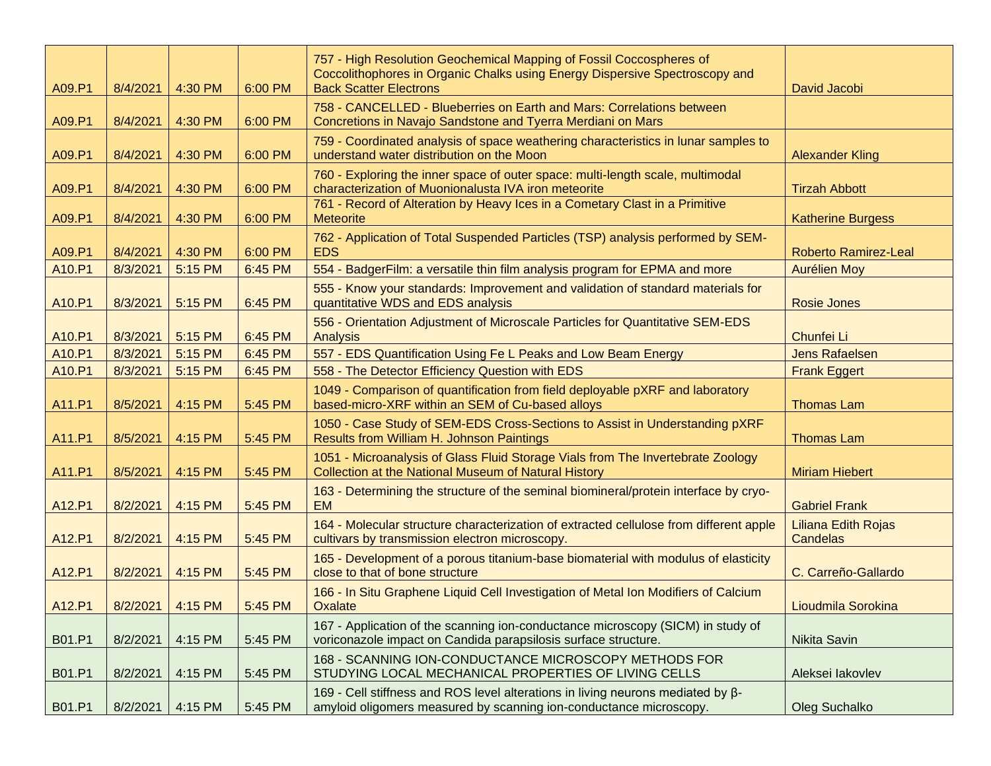| A09.P1 | 8/4/2021         | 4:30 PM | 6:00 PM | 757 - High Resolution Geochemical Mapping of Fossil Coccospheres of<br>Coccolithophores in Organic Chalks using Energy Dispersive Spectroscopy and<br><b>Back Scatter Electrons</b> | David Jacobi                           |
|--------|------------------|---------|---------|-------------------------------------------------------------------------------------------------------------------------------------------------------------------------------------|----------------------------------------|
| A09.P1 | 8/4/2021         | 4:30 PM | 6:00 PM | 758 - CANCELLED - Blueberries on Earth and Mars: Correlations between<br>Concretions in Navajo Sandstone and Tyerra Merdiani on Mars                                                |                                        |
| A09.P1 | 8/4/2021         | 4:30 PM | 6:00 PM | 759 - Coordinated analysis of space weathering characteristics in lunar samples to<br>understand water distribution on the Moon                                                     | <b>Alexander Kling</b>                 |
| A09.P1 | 8/4/2021         | 4:30 PM | 6:00 PM | 760 - Exploring the inner space of outer space: multi-length scale, multimodal<br>characterization of Muonionalusta IVA iron meteorite                                              | <b>Tirzah Abbott</b>                   |
| A09.P1 | 8/4/2021         | 4:30 PM | 6:00 PM | 761 - Record of Alteration by Heavy Ices in a Cometary Clast in a Primitive<br><b>Meteorite</b>                                                                                     | <b>Katherine Burgess</b>               |
| A09.P1 | 8/4/2021         | 4:30 PM | 6:00 PM | 762 - Application of Total Suspended Particles (TSP) analysis performed by SEM-<br><b>EDS</b>                                                                                       | <b>Roberto Ramirez-Leal</b>            |
| A10.P1 | 8/3/2021         | 5:15 PM | 6:45 PM | 554 - BadgerFilm: a versatile thin film analysis program for EPMA and more                                                                                                          | <b>Aurélien Moy</b>                    |
| A10.P1 | 8/3/2021         | 5:15 PM | 6:45 PM | 555 - Know your standards: Improvement and validation of standard materials for<br>quantitative WDS and EDS analysis                                                                | <b>Rosie Jones</b>                     |
| A10.P1 | 8/3/2021         | 5:15 PM | 6:45 PM | 556 - Orientation Adjustment of Microscale Particles for Quantitative SEM-EDS<br><b>Analysis</b>                                                                                    | Chunfei Li                             |
| A10.P1 | 8/3/2021         | 5:15 PM | 6:45 PM | 557 - EDS Quantification Using Fe L Peaks and Low Beam Energy                                                                                                                       | <b>Jens Rafaelsen</b>                  |
| A10.P1 | 8/3/2021         | 5:15 PM | 6:45 PM | 558 - The Detector Efficiency Question with EDS                                                                                                                                     | <b>Frank Eggert</b>                    |
| A11.P1 | 8/5/2021         | 4:15 PM | 5:45 PM | 1049 - Comparison of quantification from field deployable pXRF and laboratory<br>based-micro-XRF within an SEM of Cu-based alloys                                                   | <b>Thomas Lam</b>                      |
| A11.P1 | 8/5/2021         | 4:15 PM | 5:45 PM | 1050 - Case Study of SEM-EDS Cross-Sections to Assist in Understanding pXRF<br>Results from William H. Johnson Paintings                                                            | <b>Thomas Lam</b>                      |
| A11.P1 | 8/5/2021         | 4:15 PM | 5:45 PM | 1051 - Microanalysis of Glass Fluid Storage Vials from The Invertebrate Zoology<br><b>Collection at the National Museum of Natural History</b>                                      | <b>Miriam Hiebert</b>                  |
| A12.P1 | 8/2/2021         | 4:15 PM | 5:45 PM | 163 - Determining the structure of the seminal biomineral/protein interface by cryo-<br>EM.                                                                                         | <b>Gabriel Frank</b>                   |
| A12.P1 | 8/2/2021         | 4:15 PM | 5:45 PM | 164 - Molecular structure characterization of extracted cellulose from different apple<br>cultivars by transmission electron microscopy.                                            | Liliana Edith Rojas<br><b>Candelas</b> |
| A12.P1 | 8/2/2021         | 4:15 PM | 5:45 PM | 165 - Development of a porous titanium-base biomaterial with modulus of elasticity<br>close to that of bone structure                                                               | C. Carreño-Gallardo                    |
| A12.P1 | 8/2/2021 4:15 PM |         | 5:45 PM | 166 - In Situ Graphene Liquid Cell Investigation of Metal Ion Modifiers of Calcium<br>Oxalate                                                                                       | Lioudmila Sorokina                     |
| B01.P1 | 8/2/2021         | 4:15 PM | 5:45 PM | 167 - Application of the scanning ion-conductance microscopy (SICM) in study of<br>voriconazole impact on Candida parapsilosis surface structure.                                   | <b>Nikita Savin</b>                    |
| B01.P1 | 8/2/2021         | 4:15 PM | 5:45 PM | 168 - SCANNING ION-CONDUCTANCE MICROSCOPY METHODS FOR<br>STUDYING LOCAL MECHANICAL PROPERTIES OF LIVING CELLS                                                                       | Aleksei lakovlev                       |
| B01.P1 | 8/2/2021         | 4:15 PM | 5:45 PM | 169 - Cell stiffness and ROS level alterations in living neurons mediated by β-<br>amyloid oligomers measured by scanning ion-conductance microscopy.                               | <b>Oleg Suchalko</b>                   |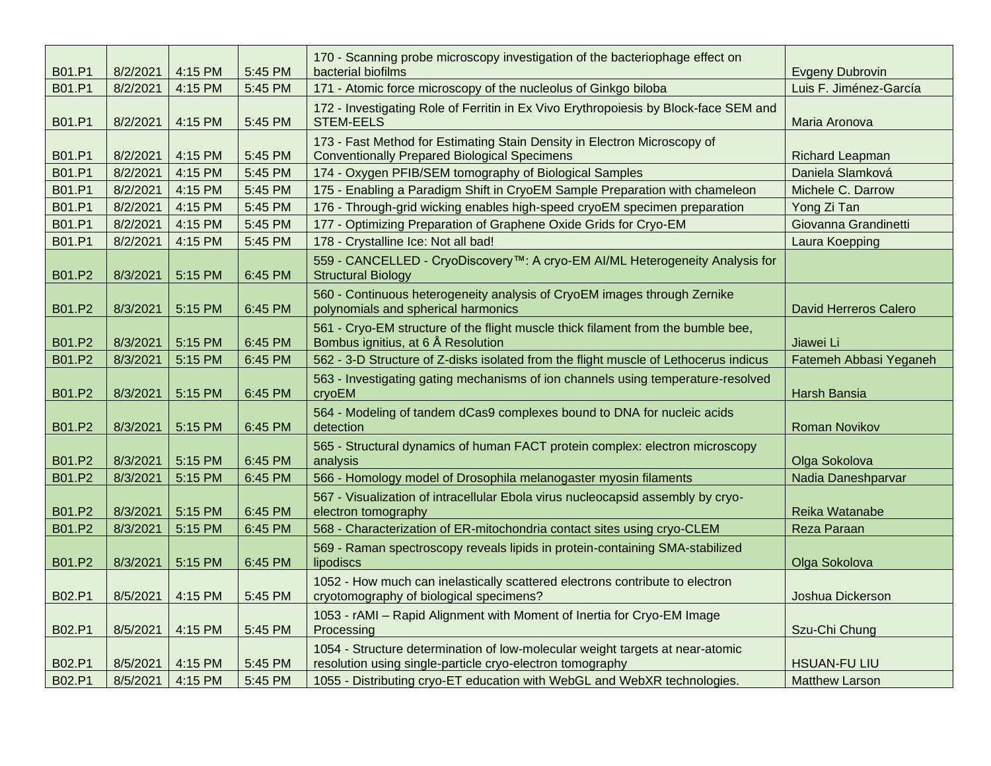| B01.P1 | 8/2/2021 | 4:15 PM | 5:45 PM | 170 - Scanning probe microscopy investigation of the bacteriophage effect on<br>bacterial biofilms                                         | <b>Evgeny Dubrovin</b>       |
|--------|----------|---------|---------|--------------------------------------------------------------------------------------------------------------------------------------------|------------------------------|
| B01.P1 | 8/2/2021 | 4:15 PM | 5:45 PM | 171 - Atomic force microscopy of the nucleolus of Ginkgo biloba                                                                            | Luis F. Jiménez-García       |
| B01.P1 | 8/2/2021 | 4:15 PM | 5:45 PM | 172 - Investigating Role of Ferritin in Ex Vivo Erythropoiesis by Block-face SEM and<br><b>STEM-EELS</b>                                   | Maria Aronova                |
| B01.P1 | 8/2/2021 | 4:15 PM | 5:45 PM | 173 - Fast Method for Estimating Stain Density in Electron Microscopy of<br><b>Conventionally Prepared Biological Specimens</b>            | Richard Leapman              |
| B01.P1 | 8/2/2021 | 4:15 PM | 5:45 PM | 174 - Oxygen PFIB/SEM tomography of Biological Samples                                                                                     | Daniela Slamková             |
| B01.P1 | 8/2/2021 | 4:15 PM | 5:45 PM | 175 - Enabling a Paradigm Shift in CryoEM Sample Preparation with chameleon                                                                | Michele C. Darrow            |
| B01.P1 | 8/2/2021 | 4:15 PM | 5:45 PM | 176 - Through-grid wicking enables high-speed cryoEM specimen preparation                                                                  | Yong Zi Tan                  |
| B01.P1 | 8/2/2021 | 4:15 PM | 5:45 PM | 177 - Optimizing Preparation of Graphene Oxide Grids for Cryo-EM                                                                           | Giovanna Grandinetti         |
| B01.P1 | 8/2/2021 | 4:15 PM | 5:45 PM | 178 - Crystalline Ice: Not all bad!                                                                                                        | Laura Koepping               |
| B01.P2 | 8/3/2021 | 5:15 PM | 6:45 PM | 559 - CANCELLED - CryoDiscovery™: A cryo-EM AI/ML Heterogeneity Analysis for<br><b>Structural Biology</b>                                  |                              |
| B01.P2 | 8/3/2021 | 5:15 PM | 6:45 PM | 560 - Continuous heterogeneity analysis of CryoEM images through Zernike<br>polynomials and spherical harmonics                            | <b>David Herreros Calero</b> |
| B01.P2 | 8/3/2021 | 5:15 PM | 6:45 PM | 561 - Cryo-EM structure of the flight muscle thick filament from the bumble bee,<br>Bombus ignitius, at 6 Å Resolution                     | Jiawei Li                    |
| B01.P2 | 8/3/2021 | 5:15 PM | 6:45 PM | 562 - 3-D Structure of Z-disks isolated from the flight muscle of Lethocerus indicus                                                       | Fatemeh Abbasi Yeganeh       |
| B01.P2 | 8/3/2021 | 5:15 PM | 6:45 PM | 563 - Investigating gating mechanisms of ion channels using temperature-resolved<br>cryoEM                                                 | Harsh Bansia                 |
| B01.P2 | 8/3/2021 | 5:15 PM | 6:45 PM | 564 - Modeling of tandem dCas9 complexes bound to DNA for nucleic acids<br>detection                                                       | <b>Roman Novikov</b>         |
| B01.P2 | 8/3/2021 | 5:15 PM | 6:45 PM | 565 - Structural dynamics of human FACT protein complex: electron microscopy<br>analysis                                                   | Olga Sokolova                |
| B01.P2 | 8/3/2021 | 5:15 PM | 6:45 PM | 566 - Homology model of Drosophila melanogaster myosin filaments                                                                           | Nadia Daneshparvar           |
| B01.P2 | 8/3/2021 | 5:15 PM | 6:45 PM | 567 - Visualization of intracellular Ebola virus nucleocapsid assembly by cryo-<br>electron tomography                                     | Reika Watanabe               |
| B01.P2 | 8/3/2021 | 5:15 PM | 6:45 PM | 568 - Characterization of ER-mitochondria contact sites using cryo-CLEM                                                                    | Reza Paraan                  |
| B01.P2 | 8/3/2021 | 5:15 PM | 6:45 PM | 569 - Raman spectroscopy reveals lipids in protein-containing SMA-stabilized<br>lipodiscs                                                  | Olga Sokolova                |
| B02.P1 | 8/5/2021 | 4:15 PM | 5:45 PM | 1052 - How much can inelastically scattered electrons contribute to electron<br>cryotomography of biological specimens?                    | Joshua Dickerson             |
| B02.P1 | 8/5/2021 | 4:15 PM | 5:45 PM | 1053 - rAMI - Rapid Alignment with Moment of Inertia for Cryo-EM Image<br>Processing                                                       | Szu-Chi Chung                |
| B02.P1 | 8/5/2021 | 4:15 PM | 5:45 PM | 1054 - Structure determination of low-molecular weight targets at near-atomic<br>resolution using single-particle cryo-electron tomography | <b>HSUAN-FU LIU</b>          |
| B02.P1 | 8/5/2021 | 4:15 PM | 5:45 PM | 1055 - Distributing cryo-ET education with WebGL and WebXR technologies.                                                                   | <b>Matthew Larson</b>        |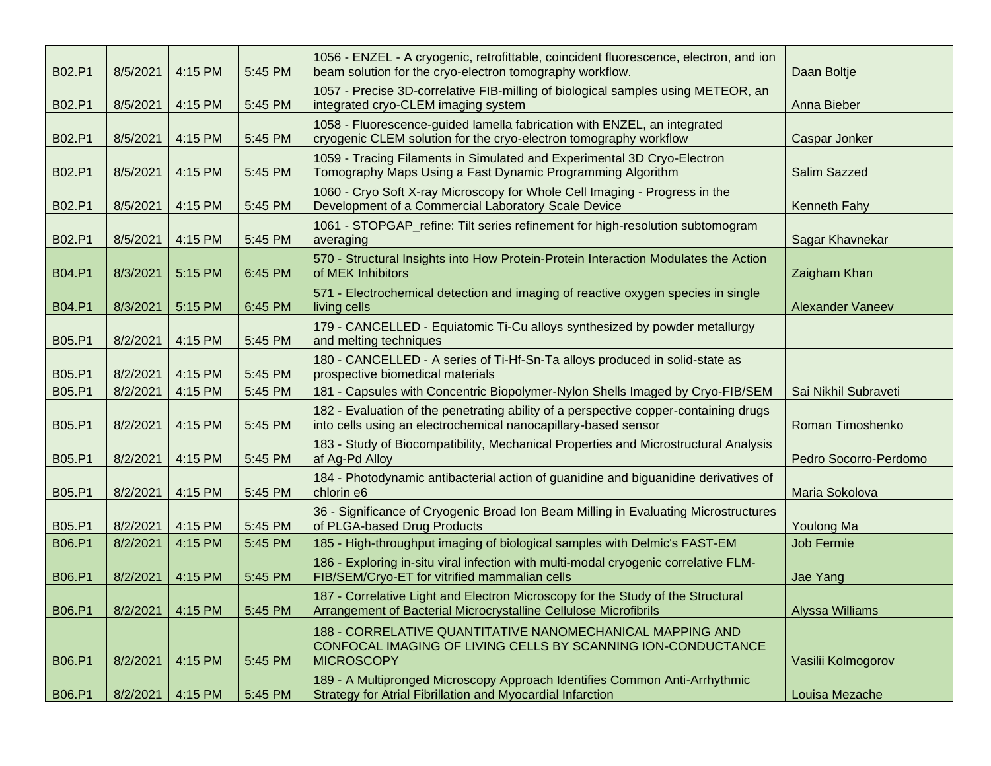| B02.P1        | 8/5/2021 | 4:15 PM | 5:45 PM | 1056 - ENZEL - A cryogenic, retrofittable, coincident fluorescence, electron, and ion<br>beam solution for the cryo-electron tomography workflow.      | Daan Boltje             |
|---------------|----------|---------|---------|--------------------------------------------------------------------------------------------------------------------------------------------------------|-------------------------|
| B02.P1        | 8/5/2021 | 4:15 PM | 5:45 PM | 1057 - Precise 3D-correlative FIB-milling of biological samples using METEOR, an<br>integrated cryo-CLEM imaging system                                | Anna Bieber             |
| B02.P1        | 8/5/2021 | 4:15 PM | 5:45 PM | 1058 - Fluorescence-guided lamella fabrication with ENZEL, an integrated<br>cryogenic CLEM solution for the cryo-electron tomography workflow          | Caspar Jonker           |
| B02.P1        | 8/5/2021 | 4:15 PM | 5:45 PM | 1059 - Tracing Filaments in Simulated and Experimental 3D Cryo-Electron<br>Tomography Maps Using a Fast Dynamic Programming Algorithm                  | Salim Sazzed            |
| B02.P1        | 8/5/2021 | 4:15 PM | 5:45 PM | 1060 - Cryo Soft X-ray Microscopy for Whole Cell Imaging - Progress in the<br>Development of a Commercial Laboratory Scale Device                      | <b>Kenneth Fahy</b>     |
| B02.P1        | 8/5/2021 | 4:15 PM | 5:45 PM | 1061 - STOPGAP_refine: Tilt series refinement for high-resolution subtomogram<br>averaging                                                             | Sagar Khavnekar         |
| <b>B04.P1</b> | 8/3/2021 | 5:15 PM | 6:45 PM | 570 - Structural Insights into How Protein-Protein Interaction Modulates the Action<br>of MEK Inhibitors                                               | Zaigham Khan            |
| <b>B04.P1</b> | 8/3/2021 | 5:15 PM | 6:45 PM | 571 - Electrochemical detection and imaging of reactive oxygen species in single<br>living cells                                                       | <b>Alexander Vaneev</b> |
| B05.P1        | 8/2/2021 | 4:15 PM | 5:45 PM | 179 - CANCELLED - Equiatomic Ti-Cu alloys synthesized by powder metallurgy<br>and melting techniques                                                   |                         |
| B05.P1        | 8/2/2021 | 4:15 PM | 5:45 PM | 180 - CANCELLED - A series of Ti-Hf-Sn-Ta alloys produced in solid-state as<br>prospective biomedical materials                                        |                         |
| B05.P1        | 8/2/2021 | 4:15 PM | 5:45 PM | 181 - Capsules with Concentric Biopolymer-Nylon Shells Imaged by Cryo-FIB/SEM                                                                          | Sai Nikhil Subraveti    |
| B05.P1        | 8/2/2021 | 4:15 PM | 5:45 PM | 182 - Evaluation of the penetrating ability of a perspective copper-containing drugs<br>into cells using an electrochemical nanocapillary-based sensor | Roman Timoshenko        |
| B05.P1        | 8/2/2021 | 4:15 PM | 5:45 PM | 183 - Study of Biocompatibility, Mechanical Properties and Microstructural Analysis<br>af Ag-Pd Alloy                                                  | Pedro Socorro-Perdomo   |
| B05.P1        | 8/2/2021 | 4:15 PM | 5:45 PM | 184 - Photodynamic antibacterial action of guanidine and biguanidine derivatives of<br>chlorin e6                                                      | Maria Sokolova          |
| <b>B05.P1</b> | 8/2/2021 | 4:15 PM | 5:45 PM | 36 - Significance of Cryogenic Broad Ion Beam Milling in Evaluating Microstructures<br>of PLGA-based Drug Products                                     | Youlong Ma              |
| <b>B06.P1</b> | 8/2/2021 | 4:15 PM | 5:45 PM | 185 - High-throughput imaging of biological samples with Delmic's FAST-EM                                                                              | Job Fermie              |
| B06.P1        | 8/2/2021 | 4:15 PM | 5:45 PM | 186 - Exploring in-situ viral infection with multi-modal cryogenic correlative FLM-<br>FIB/SEM/Cryo-ET for vitrified mammalian cells                   | Jae Yang                |
| B06.P1        | 8/2/2021 | 4:15 PM | 5:45 PM | 187 - Correlative Light and Electron Microscopy for the Study of the Structural<br>Arrangement of Bacterial Microcrystalline Cellulose Microfibrils    | <b>Alyssa Williams</b>  |
| B06.P1        | 8/2/2021 | 4:15 PM | 5:45 PM | 188 - CORRELATIVE QUANTITATIVE NANOMECHANICAL MAPPING AND<br>CONFOCAL IMAGING OF LIVING CELLS BY SCANNING ION-CONDUCTANCE<br><b>MICROSCOPY</b>         | Vasilii Kolmogorov      |
| B06.P1        | 8/2/2021 | 4:15 PM | 5:45 PM | 189 - A Multipronged Microscopy Approach Identifies Common Anti-Arrhythmic<br>Strategy for Atrial Fibrillation and Myocardial Infarction               | Louisa Mezache          |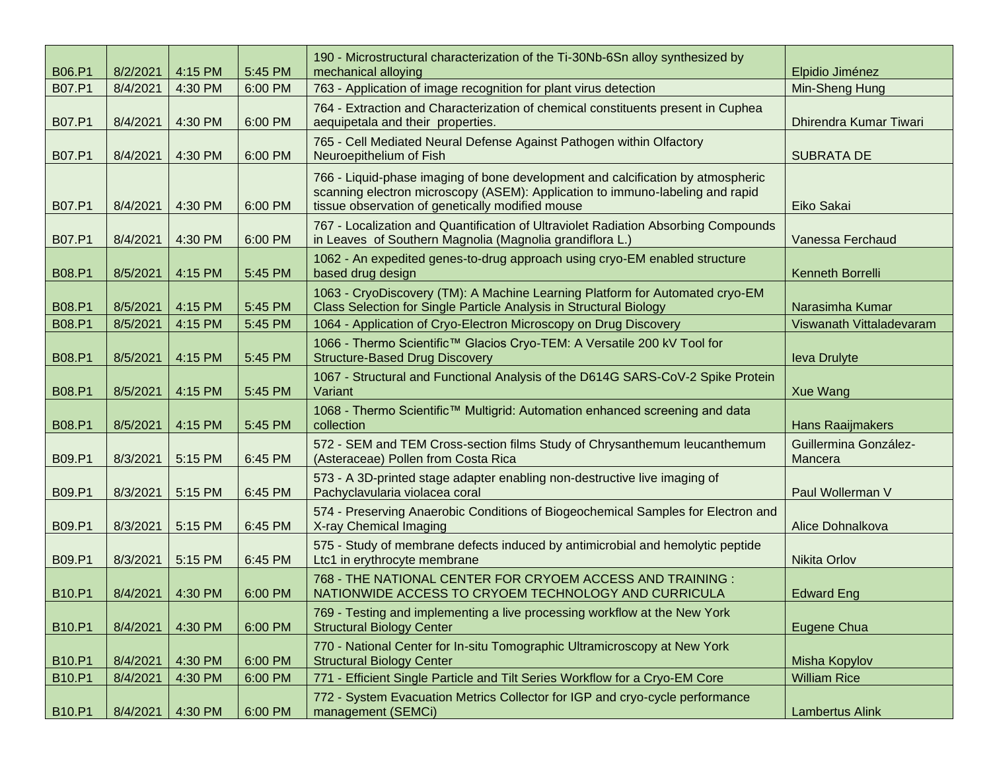| <b>B06.P1</b> | 8/2/2021 | 4:15 PM | 5:45 PM | 190 - Microstructural characterization of the Ti-30Nb-6Sn alloy synthesized by<br>mechanical alloying                                                                                                                | Elpidio Jiménez                  |
|---------------|----------|---------|---------|----------------------------------------------------------------------------------------------------------------------------------------------------------------------------------------------------------------------|----------------------------------|
| B07.P1        | 8/4/2021 | 4:30 PM | 6:00 PM | 763 - Application of image recognition for plant virus detection                                                                                                                                                     | Min-Sheng Hung                   |
| B07.P1        | 8/4/2021 | 4:30 PM | 6:00 PM | 764 - Extraction and Characterization of chemical constituents present in Cuphea<br>aequipetala and their properties.                                                                                                | Dhirendra Kumar Tiwari           |
| <b>B07.P1</b> | 8/4/2021 | 4:30 PM | 6:00 PM | 765 - Cell Mediated Neural Defense Against Pathogen within Olfactory<br>Neuroepithelium of Fish                                                                                                                      | <b>SUBRATA DE</b>                |
| B07.P1        | 8/4/2021 | 4:30 PM | 6:00 PM | 766 - Liquid-phase imaging of bone development and calcification by atmospheric<br>scanning electron microscopy (ASEM): Application to immuno-labeling and rapid<br>tissue observation of genetically modified mouse | Eiko Sakai                       |
| B07.P1        | 8/4/2021 | 4:30 PM | 6:00 PM | 767 - Localization and Quantification of Ultraviolet Radiation Absorbing Compounds<br>in Leaves of Southern Magnolia (Magnolia grandiflora L.)                                                                       | Vanessa Ferchaud                 |
| <b>B08.P1</b> | 8/5/2021 | 4:15 PM | 5:45 PM | 1062 - An expedited genes-to-drug approach using cryo-EM enabled structure<br>based drug design                                                                                                                      | Kenneth Borrelli                 |
| <b>B08.P1</b> | 8/5/2021 | 4:15 PM | 5:45 PM | 1063 - CryoDiscovery (TM): A Machine Learning Platform for Automated cryo-EM<br>Class Selection for Single Particle Analysis in Structural Biology                                                                   | Narasimha Kumar                  |
| <b>B08.P1</b> | 8/5/2021 | 4:15 PM | 5:45 PM | 1064 - Application of Cryo-Electron Microscopy on Drug Discovery                                                                                                                                                     | Viswanath Vittaladevaram         |
| <b>B08.P1</b> | 8/5/2021 | 4:15 PM | 5:45 PM | 1066 - Thermo Scientific™ Glacios Cryo-TEM: A Versatile 200 kV Tool for<br><b>Structure-Based Drug Discovery</b>                                                                                                     | <b>leva Drulyte</b>              |
| <b>B08.P1</b> | 8/5/2021 | 4:15 PM | 5:45 PM | 1067 - Structural and Functional Analysis of the D614G SARS-CoV-2 Spike Protein<br>Variant                                                                                                                           | <b>Xue Wang</b>                  |
| <b>B08.P1</b> | 8/5/2021 | 4:15 PM | 5:45 PM | 1068 - Thermo Scientific™ Multigrid: Automation enhanced screening and data<br>collection                                                                                                                            | <b>Hans Raaijmakers</b>          |
| <b>B09.P1</b> | 8/3/2021 | 5:15 PM | 6:45 PM | 572 - SEM and TEM Cross-section films Study of Chrysanthemum leucanthemum<br>(Asteraceae) Pollen from Costa Rica                                                                                                     | Guillermina González-<br>Mancera |
| B09.P1        | 8/3/2021 | 5:15 PM | 6:45 PM | 573 - A 3D-printed stage adapter enabling non-destructive live imaging of<br>Pachyclavularia violacea coral                                                                                                          | Paul Wollerman V                 |
| <b>B09.P1</b> | 8/3/2021 | 5:15 PM | 6:45 PM | 574 - Preserving Anaerobic Conditions of Biogeochemical Samples for Electron and<br>X-ray Chemical Imaging                                                                                                           | Alice Dohnalkova                 |
| <b>B09.P1</b> | 8/3/2021 | 5:15 PM | 6:45 PM | 575 - Study of membrane defects induced by antimicrobial and hemolytic peptide<br>Ltc1 in erythrocyte membrane                                                                                                       | <b>Nikita Orlov</b>              |
| <b>B10.P1</b> | 8/4/2021 | 4:30 PM | 6:00 PM | 768 - THE NATIONAL CENTER FOR CRYOEM ACCESS AND TRAINING :<br>NATIONWIDE ACCESS TO CRYOEM TECHNOLOGY AND CURRICULA                                                                                                   | <b>Edward Eng</b>                |
| <b>B10.P1</b> | 8/4/2021 | 4:30 PM | 6:00 PM | 769 - Testing and implementing a live processing workflow at the New York<br><b>Structural Biology Center</b>                                                                                                        | <b>Eugene Chua</b>               |
| <b>B10.P1</b> | 8/4/2021 | 4:30 PM | 6:00 PM | 770 - National Center for In-situ Tomographic Ultramicroscopy at New York<br><b>Structural Biology Center</b>                                                                                                        | Misha Kopylov                    |
| <b>B10.P1</b> | 8/4/2021 | 4:30 PM | 6:00 PM | 771 - Efficient Single Particle and Tilt Series Workflow for a Cryo-EM Core                                                                                                                                          | <b>William Rice</b>              |
| B10.P1        | 8/4/2021 | 4:30 PM | 6:00 PM | 772 - System Evacuation Metrics Collector for IGP and cryo-cycle performance<br>management (SEMCi)                                                                                                                   | <b>Lambertus Alink</b>           |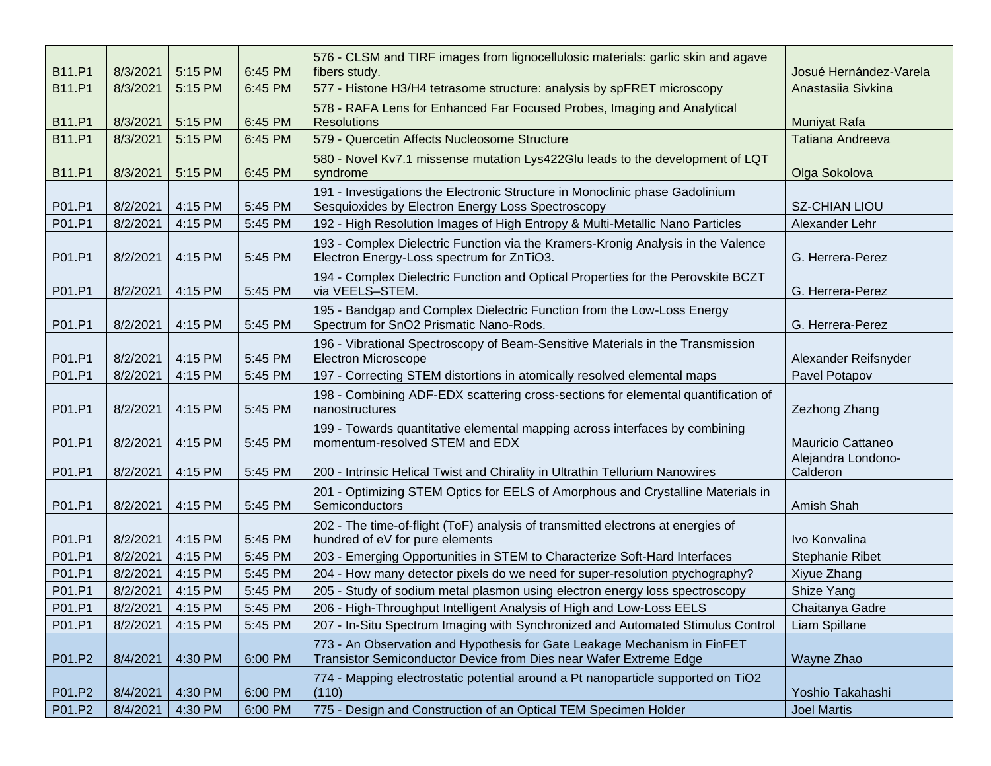| <b>B11.P1</b> | 8/3/2021 | 5:15 PM | 6:45 PM | 576 - CLSM and TIRF images from lignocellulosic materials: garlic skin and agave<br>fibers study.                                             | Josué Hernández-Varela         |
|---------------|----------|---------|---------|-----------------------------------------------------------------------------------------------------------------------------------------------|--------------------------------|
| <b>B11.P1</b> | 8/3/2021 | 5:15 PM | 6:45 PM | 577 - Histone H3/H4 tetrasome structure: analysis by spFRET microscopy                                                                        | Anastasiia Sivkina             |
| <b>B11.P1</b> | 8/3/2021 | 5:15 PM | 6:45 PM | 578 - RAFA Lens for Enhanced Far Focused Probes, Imaging and Analytical<br><b>Resolutions</b>                                                 | <b>Muniyat Rafa</b>            |
| <b>B11.P1</b> | 8/3/2021 | 5:15 PM | 6:45 PM | 579 - Quercetin Affects Nucleosome Structure                                                                                                  | <b>Tatiana Andreeva</b>        |
| <b>B11.P1</b> | 8/3/2021 | 5:15 PM | 6:45 PM | 580 - Novel Kv7.1 missense mutation Lys422Glu leads to the development of LQT<br>syndrome                                                     | Olga Sokolova                  |
| P01.P1        | 8/2/2021 | 4:15 PM | 5:45 PM | 191 - Investigations the Electronic Structure in Monoclinic phase Gadolinium<br>Sesquioxides by Electron Energy Loss Spectroscopy             | <b>SZ-CHIAN LIOU</b>           |
| P01.P1        | 8/2/2021 | 4:15 PM | 5:45 PM | 192 - High Resolution Images of High Entropy & Multi-Metallic Nano Particles                                                                  | Alexander Lehr                 |
| P01.P1        | 8/2/2021 | 4:15 PM | 5:45 PM | 193 - Complex Dielectric Function via the Kramers-Kronig Analysis in the Valence<br>Electron Energy-Loss spectrum for ZnTiO3.                 | G. Herrera-Perez               |
| P01.P1        | 8/2/2021 | 4:15 PM | 5:45 PM | 194 - Complex Dielectric Function and Optical Properties for the Perovskite BCZT<br>via VEELS-STEM.                                           | G. Herrera-Perez               |
| P01.P1        | 8/2/2021 | 4:15 PM | 5:45 PM | 195 - Bandgap and Complex Dielectric Function from the Low-Loss Energy<br>Spectrum for SnO2 Prismatic Nano-Rods.                              | G. Herrera-Perez               |
| P01.P1        | 8/2/2021 | 4:15 PM | 5:45 PM | 196 - Vibrational Spectroscopy of Beam-Sensitive Materials in the Transmission<br><b>Electron Microscope</b>                                  | Alexander Reifsnyder           |
| P01.P1        | 8/2/2021 | 4:15 PM | 5:45 PM | 197 - Correcting STEM distortions in atomically resolved elemental maps                                                                       | Pavel Potapov                  |
| P01.P1        | 8/2/2021 | 4:15 PM | 5:45 PM | 198 - Combining ADF-EDX scattering cross-sections for elemental quantification of<br>nanostructures                                           | Zezhong Zhang                  |
| P01.P1        | 8/2/2021 | 4:15 PM | 5:45 PM | 199 - Towards quantitative elemental mapping across interfaces by combining<br>momentum-resolved STEM and EDX                                 | <b>Mauricio Cattaneo</b>       |
| P01.P1        | 8/2/2021 | 4:15 PM | 5:45 PM | 200 - Intrinsic Helical Twist and Chirality in Ultrathin Tellurium Nanowires                                                                  | Alejandra Londono-<br>Calderon |
| P01.P1        | 8/2/2021 | 4:15 PM | 5:45 PM | 201 - Optimizing STEM Optics for EELS of Amorphous and Crystalline Materials in<br>Semiconductors                                             | Amish Shah                     |
| P01.P1        | 8/2/2021 | 4:15 PM | 5:45 PM | 202 - The time-of-flight (ToF) analysis of transmitted electrons at energies of<br>hundred of eV for pure elements                            | Ivo Konvalina                  |
| P01.P1        | 8/2/2021 | 4:15 PM | 5:45 PM | 203 - Emerging Opportunities in STEM to Characterize Soft-Hard Interfaces                                                                     | Stephanie Ribet                |
| P01.P1        | 8/2/2021 | 4:15 PM | 5:45 PM | 204 - How many detector pixels do we need for super-resolution ptychography?                                                                  | Xiyue Zhang                    |
| P01.P1        | 8/2/2021 | 4:15 PM | 5:45 PM | 205 - Study of sodium metal plasmon using electron energy loss spectroscopy                                                                   | Shize Yang                     |
| P01.P1        | 8/2/2021 | 4:15 PM | 5:45 PM | 206 - High-Throughput Intelligent Analysis of High and Low-Loss EELS                                                                          | Chaitanya Gadre                |
| P01.P1        | 8/2/2021 | 4:15 PM | 5:45 PM | 207 - In-Situ Spectrum Imaging with Synchronized and Automated Stimulus Control                                                               | Liam Spillane                  |
| P01.P2        | 8/4/2021 | 4:30 PM | 6:00 PM | 773 - An Observation and Hypothesis for Gate Leakage Mechanism in FinFET<br>Transistor Semiconductor Device from Dies near Wafer Extreme Edge | Wayne Zhao                     |
| P01.P2        | 8/4/2021 | 4:30 PM | 6:00 PM | 774 - Mapping electrostatic potential around a Pt nanoparticle supported on TiO2<br>(110)                                                     | Yoshio Takahashi               |
| P01.P2        | 8/4/2021 | 4:30 PM | 6:00 PM | 775 - Design and Construction of an Optical TEM Specimen Holder                                                                               | <b>Joel Martis</b>             |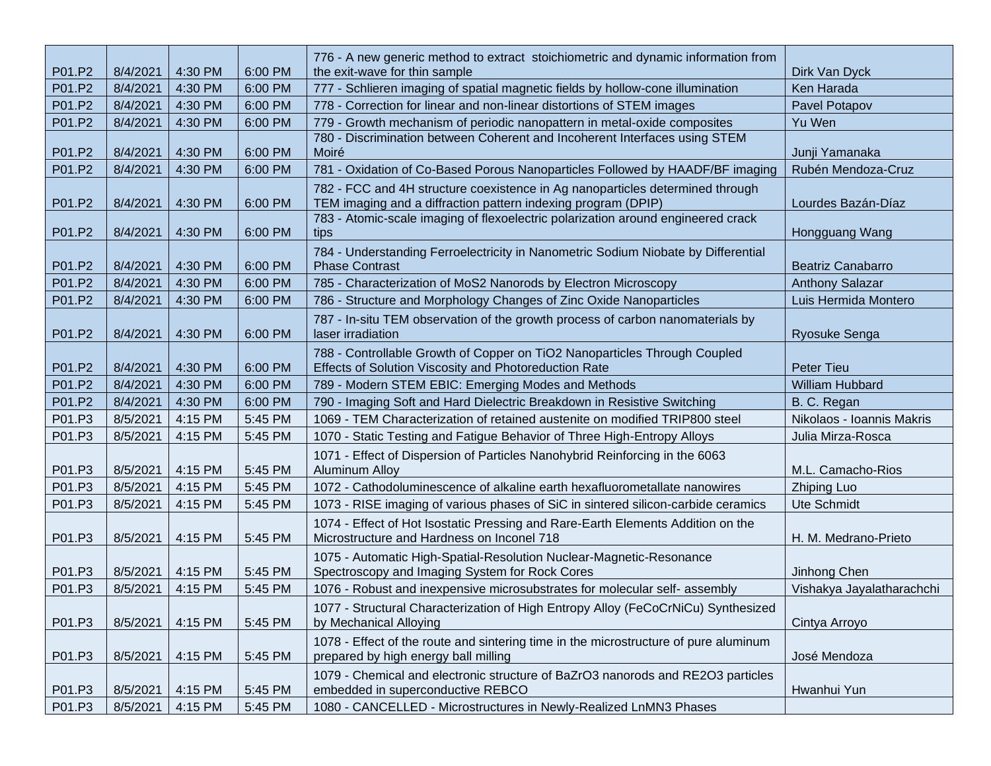| P01.P2 | 8/4/2021 | 4:30 PM | 6:00 PM | 776 - A new generic method to extract stoichiometric and dynamic information from<br>the exit-wave for thin sample                             | Dirk Van Dyck             |
|--------|----------|---------|---------|------------------------------------------------------------------------------------------------------------------------------------------------|---------------------------|
| P01.P2 | 8/4/2021 | 4:30 PM | 6:00 PM | 777 - Schlieren imaging of spatial magnetic fields by hollow-cone illumination                                                                 | Ken Harada                |
| P01.P2 | 8/4/2021 | 4:30 PM | 6:00 PM | 778 - Correction for linear and non-linear distortions of STEM images                                                                          | Pavel Potapov             |
| P01.P2 | 8/4/2021 | 4:30 PM | 6:00 PM | 779 - Growth mechanism of periodic nanopattern in metal-oxide composites                                                                       | Yu Wen                    |
| P01.P2 | 8/4/2021 | 4:30 PM | 6:00 PM | 780 - Discrimination between Coherent and Incoherent Interfaces using STEM<br>Moiré                                                            | Junji Yamanaka            |
| P01.P2 | 8/4/2021 | 4:30 PM | 6:00 PM | 781 - Oxidation of Co-Based Porous Nanoparticles Followed by HAADF/BF imaging                                                                  | Rubén Mendoza-Cruz        |
| P01.P2 | 8/4/2021 | 4:30 PM | 6:00 PM | 782 - FCC and 4H structure coexistence in Ag nanoparticles determined through<br>TEM imaging and a diffraction pattern indexing program (DPIP) | Lourdes Bazán-Díaz        |
| P01.P2 | 8/4/2021 | 4:30 PM | 6:00 PM | 783 - Atomic-scale imaging of flexoelectric polarization around engineered crack<br>tips                                                       | Hongguang Wang            |
| P01.P2 | 8/4/2021 | 4:30 PM | 6:00 PM | 784 - Understanding Ferroelectricity in Nanometric Sodium Niobate by Differential<br><b>Phase Contrast</b>                                     | <b>Beatriz Canabarro</b>  |
| P01.P2 | 8/4/2021 | 4:30 PM | 6:00 PM | 785 - Characterization of MoS2 Nanorods by Electron Microscopy                                                                                 | <b>Anthony Salazar</b>    |
| P01.P2 | 8/4/2021 | 4:30 PM | 6:00 PM | 786 - Structure and Morphology Changes of Zinc Oxide Nanoparticles                                                                             | Luis Hermida Montero      |
| P01.P2 | 8/4/2021 | 4:30 PM | 6:00 PM | 787 - In-situ TEM observation of the growth process of carbon nanomaterials by<br>laser irradiation                                            | <b>Ryosuke Senga</b>      |
| P01.P2 | 8/4/2021 | 4:30 PM | 6:00 PM | 788 - Controllable Growth of Copper on TiO2 Nanoparticles Through Coupled<br>Effects of Solution Viscosity and Photoreduction Rate             | <b>Peter Tieu</b>         |
| P01.P2 | 8/4/2021 | 4:30 PM | 6:00 PM | 789 - Modern STEM EBIC: Emerging Modes and Methods                                                                                             | <b>William Hubbard</b>    |
| P01.P2 | 8/4/2021 | 4:30 PM | 6:00 PM | 790 - Imaging Soft and Hard Dielectric Breakdown in Resistive Switching                                                                        | B. C. Regan               |
| P01.P3 | 8/5/2021 | 4:15 PM | 5:45 PM | 1069 - TEM Characterization of retained austenite on modified TRIP800 steel                                                                    | Nikolaos - Ioannis Makris |
| P01.P3 | 8/5/2021 | 4:15 PM | 5:45 PM | 1070 - Static Testing and Fatigue Behavior of Three High-Entropy Alloys                                                                        | Julia Mirza-Rosca         |
| P01.P3 | 8/5/2021 | 4:15 PM | 5:45 PM | 1071 - Effect of Dispersion of Particles Nanohybrid Reinforcing in the 6063<br><b>Aluminum Alloy</b>                                           | M.L. Camacho-Rios         |
| P01.P3 | 8/5/2021 | 4:15 PM | 5:45 PM | 1072 - Cathodoluminescence of alkaline earth hexafluorometallate nanowires                                                                     | <b>Zhiping Luo</b>        |
| P01.P3 | 8/5/2021 | 4:15 PM | 5:45 PM | 1073 - RISE imaging of various phases of SiC in sintered silicon-carbide ceramics                                                              | Ute Schmidt               |
| P01.P3 | 8/5/2021 | 4:15 PM | 5:45 PM | 1074 - Effect of Hot Isostatic Pressing and Rare-Earth Elements Addition on the<br>Microstructure and Hardness on Inconel 718                  | H. M. Medrano-Prieto      |
| P01.P3 | 8/5/2021 | 4:15 PM | 5:45 PM | 1075 - Automatic High-Spatial-Resolution Nuclear-Magnetic-Resonance<br>Spectroscopy and Imaging System for Rock Cores                          | Jinhong Chen              |
| P01.P3 | 8/5/2021 | 4:15 PM | 5:45 PM | 1076 - Robust and inexpensive microsubstrates for molecular self- assembly                                                                     | Vishakya Jayalatharachchi |
| P01.P3 | 8/5/2021 | 4:15 PM | 5:45 PM | 1077 - Structural Characterization of High Entropy Alloy (FeCoCrNiCu) Synthesized<br>by Mechanical Alloying                                    | Cintya Arroyo             |
| P01.P3 | 8/5/2021 | 4:15 PM | 5:45 PM | 1078 - Effect of the route and sintering time in the microstructure of pure aluminum<br>prepared by high energy ball milling                   | José Mendoza              |
| P01.P3 | 8/5/2021 | 4:15 PM | 5:45 PM | 1079 - Chemical and electronic structure of BaZrO3 nanorods and RE2O3 particles<br>embedded in superconductive REBCO                           | Hwanhui Yun               |
| P01.P3 | 8/5/2021 | 4:15 PM | 5:45 PM | 1080 - CANCELLED - Microstructures in Newly-Realized LnMN3 Phases                                                                              |                           |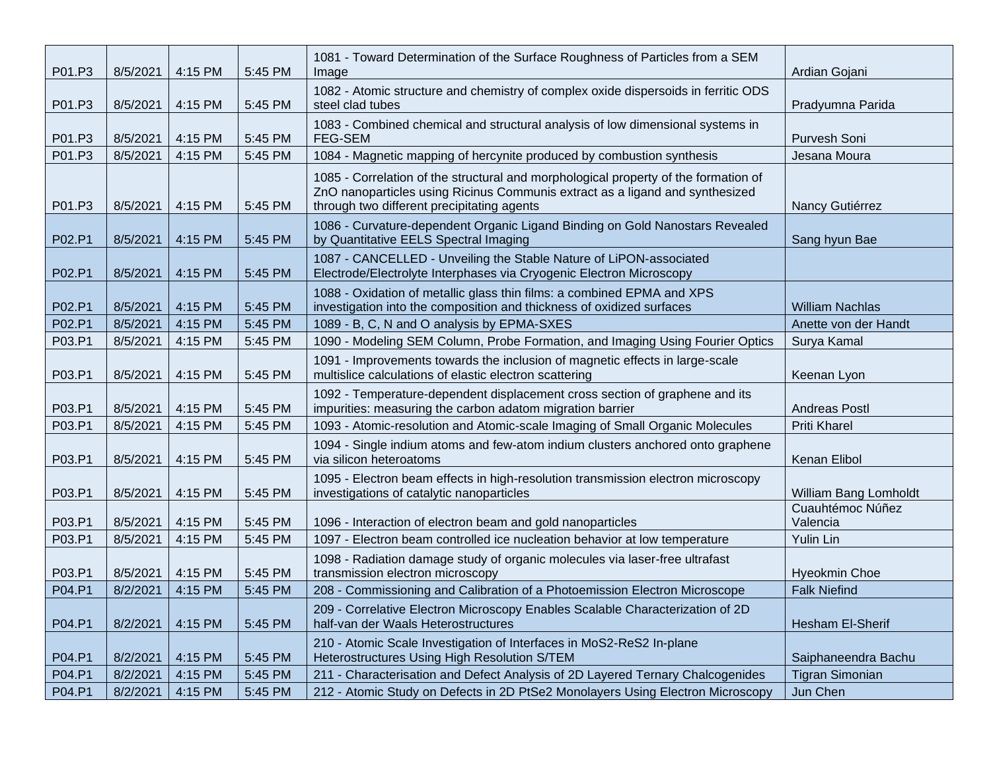| P01.P3 | 8/5/2021 | 4:15 PM | 5:45 PM | 1081 - Toward Determination of the Surface Roughness of Particles from a SEM<br>Image                                                                                                                             | Ardian Gojani                |
|--------|----------|---------|---------|-------------------------------------------------------------------------------------------------------------------------------------------------------------------------------------------------------------------|------------------------------|
| P01.P3 | 8/5/2021 | 4:15 PM | 5:45 PM | 1082 - Atomic structure and chemistry of complex oxide dispersoids in ferritic ODS<br>steel clad tubes                                                                                                            | Pradyumna Parida             |
| P01.P3 | 8/5/2021 | 4:15 PM | 5:45 PM | 1083 - Combined chemical and structural analysis of low dimensional systems in<br>FEG-SEM                                                                                                                         | Purvesh Soni                 |
| P01.P3 | 8/5/2021 | 4:15 PM | 5:45 PM | 1084 - Magnetic mapping of hercynite produced by combustion synthesis                                                                                                                                             | Jesana Moura                 |
| P01.P3 | 8/5/2021 | 4:15 PM | 5:45 PM | 1085 - Correlation of the structural and morphological property of the formation of<br>ZnO nanoparticles using Ricinus Communis extract as a ligand and synthesized<br>through two different precipitating agents | Nancy Gutiérrez              |
| P02.P1 | 8/5/2021 | 4:15 PM | 5:45 PM | 1086 - Curvature-dependent Organic Ligand Binding on Gold Nanostars Revealed<br>by Quantitative EELS Spectral Imaging                                                                                             | Sang hyun Bae                |
| P02.P1 | 8/5/2021 | 4:15 PM | 5:45 PM | 1087 - CANCELLED - Unveiling the Stable Nature of LiPON-associated<br>Electrode/Electrolyte Interphases via Cryogenic Electron Microscopy                                                                         |                              |
| P02.P1 | 8/5/2021 | 4:15 PM | 5:45 PM | 1088 - Oxidation of metallic glass thin films: a combined EPMA and XPS<br>investigation into the composition and thickness of oxidized surfaces                                                                   | William Nachlas              |
| P02.P1 | 8/5/2021 | 4:15 PM | 5:45 PM | 1089 - B, C, N and O analysis by EPMA-SXES                                                                                                                                                                        | Anette von der Handt         |
| P03.P1 | 8/5/2021 | 4:15 PM | 5:45 PM | 1090 - Modeling SEM Column, Probe Formation, and Imaging Using Fourier Optics                                                                                                                                     | Surya Kamal                  |
| P03.P1 | 8/5/2021 | 4:15 PM | 5:45 PM | 1091 - Improvements towards the inclusion of magnetic effects in large-scale<br>multislice calculations of elastic electron scattering                                                                            | Keenan Lyon                  |
| P03.P1 | 8/5/2021 | 4:15 PM | 5:45 PM | 1092 - Temperature-dependent displacement cross section of graphene and its<br>impurities: measuring the carbon adatom migration barrier                                                                          | <b>Andreas Postl</b>         |
| P03.P1 | 8/5/2021 | 4:15 PM | 5:45 PM | 1093 - Atomic-resolution and Atomic-scale Imaging of Small Organic Molecules                                                                                                                                      | <b>Priti Kharel</b>          |
| P03.P1 | 8/5/2021 | 4:15 PM | 5:45 PM | 1094 - Single indium atoms and few-atom indium clusters anchored onto graphene<br>via silicon heteroatoms                                                                                                         | Kenan Elibol                 |
| P03.P1 | 8/5/2021 | 4:15 PM | 5:45 PM | 1095 - Electron beam effects in high-resolution transmission electron microscopy<br>investigations of catalytic nanoparticles                                                                                     | William Bang Lomholdt        |
| P03.P1 | 8/5/2021 | 4:15 PM | 5:45 PM | 1096 - Interaction of electron beam and gold nanoparticles                                                                                                                                                        | Cuauhtémoc Núñez<br>Valencia |
| P03.P1 | 8/5/2021 | 4:15 PM | 5:45 PM | 1097 - Electron beam controlled ice nucleation behavior at low temperature                                                                                                                                        | Yulin Lin                    |
| P03.P1 | 8/5/2021 | 4:15 PM | 5:45 PM | 1098 - Radiation damage study of organic molecules via laser-free ultrafast<br>transmission electron microscopy                                                                                                   | <b>Hyeokmin Choe</b>         |
| P04.P1 | 8/2/2021 | 4:15 PM | 5:45 PM | 208 - Commissioning and Calibration of a Photoemission Electron Microscope                                                                                                                                        | <b>Falk Niefind</b>          |
| P04.P1 | 8/2/2021 | 4:15 PM | 5:45 PM | 209 - Correlative Electron Microscopy Enables Scalable Characterization of 2D<br>half-van der Waals Heterostructures                                                                                              | Hesham El-Sherif             |
| P04.P1 | 8/2/2021 | 4:15 PM | 5:45 PM | 210 - Atomic Scale Investigation of Interfaces in MoS2-ReS2 In-plane<br>Heterostructures Using High Resolution S/TEM                                                                                              | Saiphaneendra Bachu          |
| P04.P1 | 8/2/2021 | 4:15 PM | 5:45 PM | 211 - Characterisation and Defect Analysis of 2D Layered Ternary Chalcogenides                                                                                                                                    | <b>Tigran Simonian</b>       |
| P04.P1 | 8/2/2021 | 4:15 PM | 5:45 PM | 212 - Atomic Study on Defects in 2D PtSe2 Monolayers Using Electron Microscopy                                                                                                                                    | Jun Chen                     |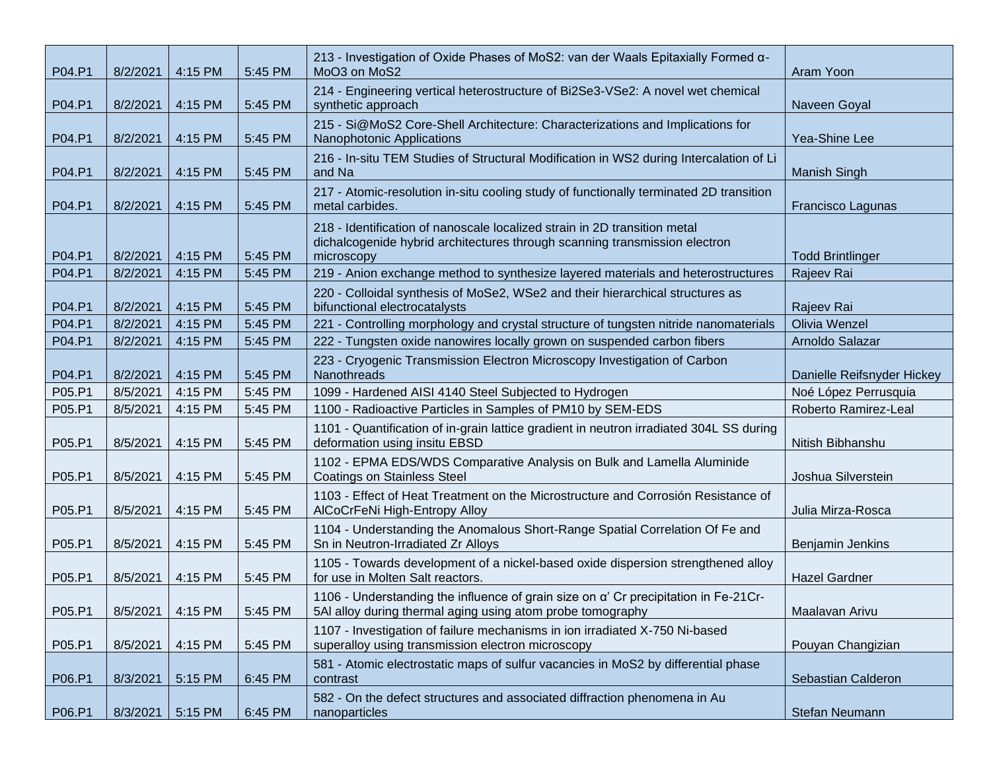| P04.P1 | 8/2/2021 | 4:15 PM | 5:45 PM | 213 - Investigation of Oxide Phases of MoS2: van der Waals Epitaxially Formed α-<br>MoO3 on MoS2                                                                      | Aram Yoon                  |
|--------|----------|---------|---------|-----------------------------------------------------------------------------------------------------------------------------------------------------------------------|----------------------------|
| P04.P1 | 8/2/2021 | 4:15 PM | 5:45 PM | 214 - Engineering vertical heterostructure of Bi2Se3-VSe2: A novel wet chemical<br>synthetic approach                                                                 | Naveen Goyal               |
| P04.P1 | 8/2/2021 | 4:15 PM | 5:45 PM | 215 - Si@MoS2 Core-Shell Architecture: Characterizations and Implications for<br>Nanophotonic Applications                                                            | Yea-Shine Lee              |
| P04.P1 | 8/2/2021 | 4:15 PM | 5:45 PM | 216 - In-situ TEM Studies of Structural Modification in WS2 during Intercalation of Li<br>and Na                                                                      | <b>Manish Singh</b>        |
| P04.P1 | 8/2/2021 | 4:15 PM | 5:45 PM | 217 - Atomic-resolution in-situ cooling study of functionally terminated 2D transition<br>metal carbides.                                                             | Francisco Lagunas          |
| P04.P1 | 8/2/2021 | 4:15 PM | 5:45 PM | 218 - Identification of nanoscale localized strain in 2D transition metal<br>dichalcogenide hybrid architectures through scanning transmission electron<br>microscopy | <b>Todd Brintlinger</b>    |
| P04.P1 | 8/2/2021 | 4:15 PM | 5:45 PM | 219 - Anion exchange method to synthesize layered materials and heterostructures                                                                                      | Rajeev Rai                 |
| P04.P1 | 8/2/2021 | 4:15 PM | 5:45 PM | 220 - Colloidal synthesis of MoSe2, WSe2 and their hierarchical structures as<br>bifunctional electrocatalysts                                                        | Rajeev Rai                 |
| P04.P1 | 8/2/2021 | 4:15 PM | 5:45 PM | 221 - Controlling morphology and crystal structure of tungsten nitride nanomaterials                                                                                  | Olivia Wenzel              |
| P04.P1 | 8/2/2021 | 4:15 PM | 5:45 PM | 222 - Tungsten oxide nanowires locally grown on suspended carbon fibers                                                                                               | Arnoldo Salazar            |
| P04.P1 | 8/2/2021 | 4:15 PM | 5:45 PM | 223 - Cryogenic Transmission Electron Microscopy Investigation of Carbon<br>Nanothreads                                                                               | Danielle Reifsnyder Hickey |
| P05.P1 | 8/5/2021 | 4:15 PM | 5:45 PM | 1099 - Hardened AISI 4140 Steel Subjected to Hydrogen                                                                                                                 | Noé López Perrusquia       |
| P05.P1 | 8/5/2021 | 4:15 PM | 5:45 PM | 1100 - Radioactive Particles in Samples of PM10 by SEM-EDS                                                                                                            | Roberto Ramirez-Leal       |
| P05.P1 | 8/5/2021 | 4:15 PM | 5:45 PM | 1101 - Quantification of in-grain lattice gradient in neutron irradiated 304L SS during<br>deformation using insitu EBSD                                              | Nitish Bibhanshu           |
| P05.P1 | 8/5/2021 | 4:15 PM | 5:45 PM | 1102 - EPMA EDS/WDS Comparative Analysis on Bulk and Lamella Aluminide<br><b>Coatings on Stainless Steel</b>                                                          | Joshua Silverstein         |
| P05.P1 | 8/5/2021 | 4:15 PM | 5:45 PM | 1103 - Effect of Heat Treatment on the Microstructure and Corrosión Resistance of<br>AlCoCrFeNi High-Entropy Alloy                                                    | Julia Mirza-Rosca          |
| P05.P1 | 8/5/2021 | 4:15 PM | 5:45 PM | 1104 - Understanding the Anomalous Short-Range Spatial Correlation Of Fe and<br>Sn in Neutron-Irradiated Zr Alloys                                                    | Benjamin Jenkins           |
| P05.P1 | 8/5/2021 | 4:15 PM | 5:45 PM | 1105 - Towards development of a nickel-based oxide dispersion strengthened alloy<br>for use in Molten Salt reactors.                                                  | <b>Hazel Gardner</b>       |
| P05.P1 | 8/5/2021 | 4:15 PM | 5:45 PM | 1106 - Understanding the influence of grain size on a' Cr precipitation in Fe-21Cr-<br>5AI alloy during thermal aging using atom probe tomography                     | Maalavan Arivu             |
| P05.P1 | 8/5/2021 | 4:15 PM | 5:45 PM | 1107 - Investigation of failure mechanisms in ion irradiated X-750 Ni-based<br>superalloy using transmission electron microscopy                                      | Pouyan Changizian          |
| P06.P1 | 8/3/2021 | 5:15 PM | 6:45 PM | 581 - Atomic electrostatic maps of sulfur vacancies in MoS2 by differential phase<br>contrast                                                                         | Sebastian Calderon         |
| P06.P1 | 8/3/2021 | 5:15 PM | 6:45 PM | 582 - On the defect structures and associated diffraction phenomena in Au<br>nanoparticles                                                                            | Stefan Neumann             |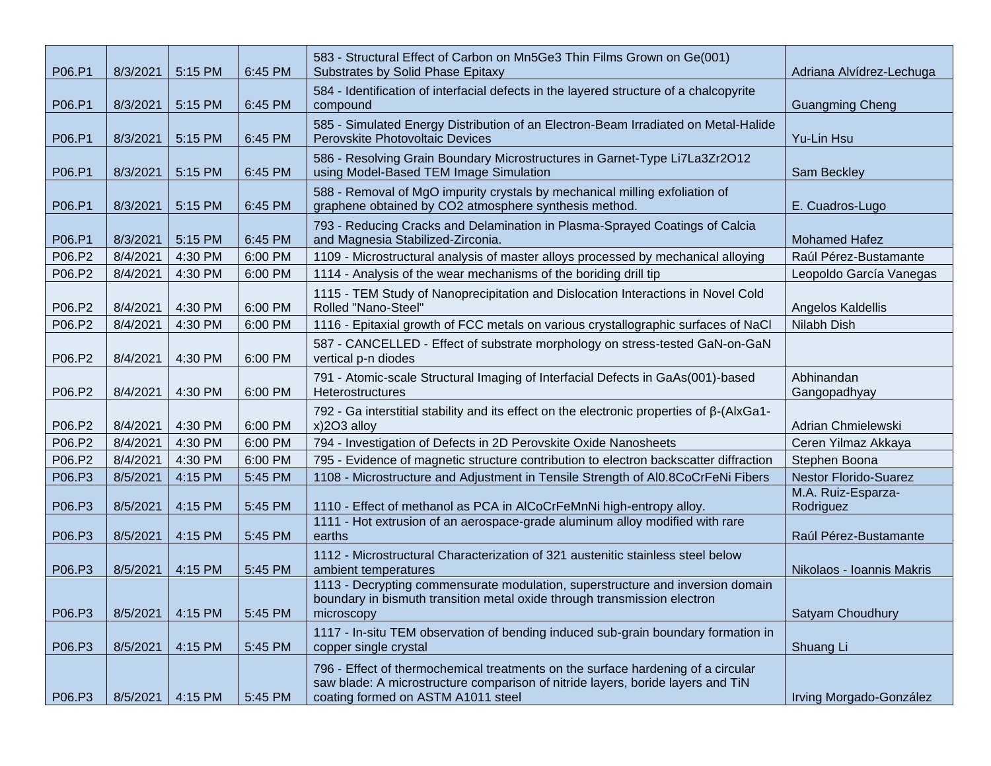| P06.P1 | 8/3/2021 | 5:15 PM | 6:45 PM | 583 - Structural Effect of Carbon on Mn5Ge3 Thin Films Grown on Ge(001)<br>Substrates by Solid Phase Epitaxy                                                                                              | Adriana Alvídrez-Lechuga        |
|--------|----------|---------|---------|-----------------------------------------------------------------------------------------------------------------------------------------------------------------------------------------------------------|---------------------------------|
| P06.P1 | 8/3/2021 | 5:15 PM | 6:45 PM | 584 - Identification of interfacial defects in the layered structure of a chalcopyrite<br>compound                                                                                                        | <b>Guangming Cheng</b>          |
| P06.P1 | 8/3/2021 | 5:15 PM | 6:45 PM | 585 - Simulated Energy Distribution of an Electron-Beam Irradiated on Metal-Halide<br>Perovskite Photovoltaic Devices                                                                                     | Yu-Lin Hsu                      |
| P06.P1 | 8/3/2021 | 5:15 PM | 6:45 PM | 586 - Resolving Grain Boundary Microstructures in Garnet-Type Li7La3Zr2O12<br>using Model-Based TEM Image Simulation                                                                                      | Sam Beckley                     |
| P06.P1 | 8/3/2021 | 5:15 PM | 6:45 PM | 588 - Removal of MgO impurity crystals by mechanical milling exfoliation of<br>graphene obtained by CO2 atmosphere synthesis method.                                                                      | E. Cuadros-Lugo                 |
| P06.P1 | 8/3/2021 | 5:15 PM | 6:45 PM | 793 - Reducing Cracks and Delamination in Plasma-Sprayed Coatings of Calcia<br>and Magnesia Stabilized-Zirconia.                                                                                          | <b>Mohamed Hafez</b>            |
| P06.P2 | 8/4/2021 | 4:30 PM | 6:00 PM | 1109 - Microstructural analysis of master alloys processed by mechanical alloying                                                                                                                         | Raúl Pérez-Bustamante           |
| P06.P2 | 8/4/2021 | 4:30 PM | 6:00 PM | 1114 - Analysis of the wear mechanisms of the boriding drill tip                                                                                                                                          | Leopoldo García Vanegas         |
| P06.P2 | 8/4/2021 | 4:30 PM | 6:00 PM | 1115 - TEM Study of Nanoprecipitation and Dislocation Interactions in Novel Cold<br>Rolled "Nano-Steel"                                                                                                   | Angelos Kaldellis               |
| P06.P2 | 8/4/2021 | 4:30 PM | 6:00 PM | 1116 - Epitaxial growth of FCC metals on various crystallographic surfaces of NaCl                                                                                                                        | Nilabh Dish                     |
| P06.P2 | 8/4/2021 | 4:30 PM | 6:00 PM | 587 - CANCELLED - Effect of substrate morphology on stress-tested GaN-on-GaN<br>vertical p-n diodes                                                                                                       |                                 |
| P06.P2 | 8/4/2021 | 4:30 PM | 6:00 PM | 791 - Atomic-scale Structural Imaging of Interfacial Defects in GaAs(001)-based<br><b>Heterostructures</b>                                                                                                | Abhinandan<br>Gangopadhyay      |
| P06.P2 | 8/4/2021 | 4:30 PM | 6:00 PM | 792 - Ga interstitial stability and its effect on the electronic properties of $β$ -(AlxGa1-<br>x)2O3 alloy                                                                                               | Adrian Chmielewski              |
| P06.P2 | 8/4/2021 | 4:30 PM | 6:00 PM | 794 - Investigation of Defects in 2D Perovskite Oxide Nanosheets                                                                                                                                          | Ceren Yilmaz Akkaya             |
| P06.P2 | 8/4/2021 | 4:30 PM | 6:00 PM | 795 - Evidence of magnetic structure contribution to electron backscatter diffraction                                                                                                                     | Stephen Boona                   |
| P06.P3 | 8/5/2021 | 4:15 PM | 5:45 PM | 1108 - Microstructure and Adjustment in Tensile Strength of Al0.8CoCrFeNi Fibers                                                                                                                          | <b>Nestor Florido-Suarez</b>    |
| P06.P3 | 8/5/2021 | 4:15 PM | 5:45 PM | 1110 - Effect of methanol as PCA in AlCoCrFeMnNi high-entropy alloy.                                                                                                                                      | M.A. Ruiz-Esparza-<br>Rodriguez |
| P06.P3 | 8/5/2021 | 4:15 PM | 5:45 PM | 1111 - Hot extrusion of an aerospace-grade aluminum alloy modified with rare<br>earths                                                                                                                    | Raúl Pérez-Bustamante           |
| P06.P3 | 8/5/2021 | 4:15 PM | 5:45 PM | 1112 - Microstructural Characterization of 321 austenitic stainless steel below<br>ambient temperatures                                                                                                   | Nikolaos - Ioannis Makris       |
| P06.P3 | 8/5/2021 | 4:15 PM | 5:45 PM | 1113 - Decrypting commensurate modulation, superstructure and inversion domain<br>boundary in bismuth transition metal oxide through transmission electron<br>microscopy                                  | Satyam Choudhury                |
| P06.P3 | 8/5/2021 | 4:15 PM | 5:45 PM | 1117 - In-situ TEM observation of bending induced sub-grain boundary formation in<br>copper single crystal                                                                                                | Shuang Li                       |
| P06.P3 | 8/5/2021 | 4:15 PM | 5:45 PM | 796 - Effect of thermochemical treatments on the surface hardening of a circular<br>saw blade: A microstructure comparison of nitride layers, boride layers and TiN<br>coating formed on ASTM A1011 steel | Irving Morgado-González         |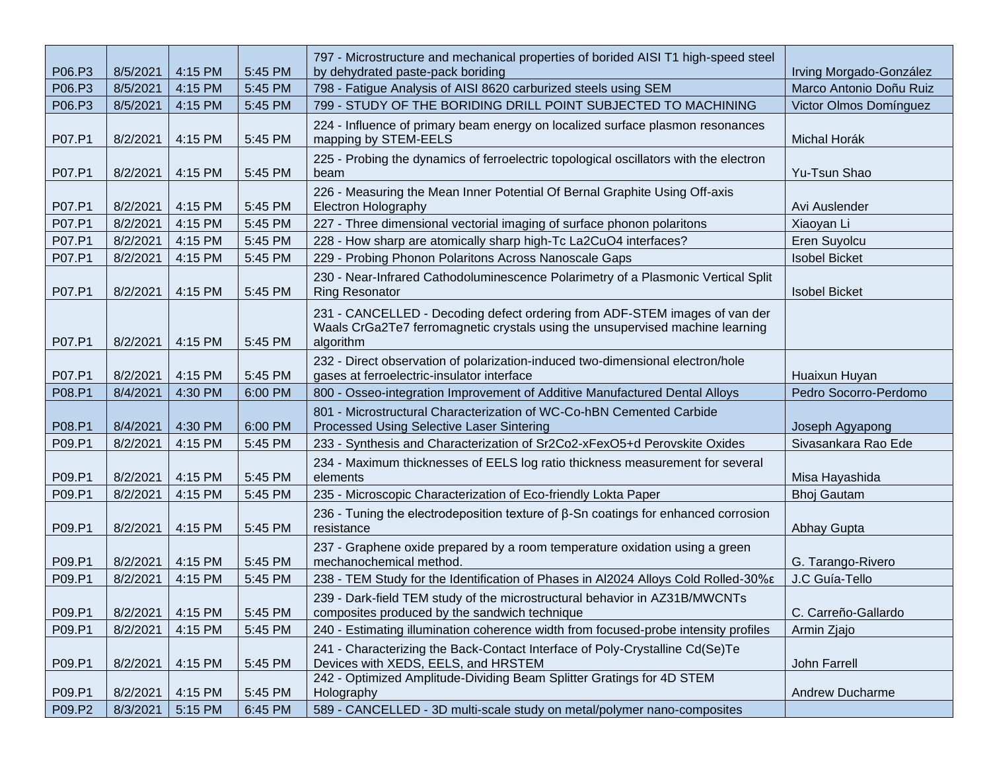| P06.P3 | 8/5/2021 | 4:15 PM | 5:45 PM | 797 - Microstructure and mechanical properties of borided AISI T1 high-speed steel<br>by dehydrated paste-pack boriding                                                  | Irving Morgado-González |
|--------|----------|---------|---------|--------------------------------------------------------------------------------------------------------------------------------------------------------------------------|-------------------------|
| P06.P3 | 8/5/2021 | 4:15 PM | 5:45 PM | 798 - Fatigue Analysis of AISI 8620 carburized steels using SEM                                                                                                          | Marco Antonio Doñu Ruiz |
| P06.P3 | 8/5/2021 | 4:15 PM | 5:45 PM | 799 - STUDY OF THE BORIDING DRILL POINT SUBJECTED TO MACHINING                                                                                                           | Victor Olmos Domínguez  |
| P07.P1 | 8/2/2021 | 4:15 PM | 5:45 PM | 224 - Influence of primary beam energy on localized surface plasmon resonances<br>mapping by STEM-EELS                                                                   | Michal Horák            |
| P07.P1 | 8/2/2021 | 4:15 PM | 5:45 PM | 225 - Probing the dynamics of ferroelectric topological oscillators with the electron<br>beam                                                                            | Yu-Tsun Shao            |
| P07.P1 | 8/2/2021 | 4:15 PM | 5:45 PM | 226 - Measuring the Mean Inner Potential Of Bernal Graphite Using Off-axis<br><b>Electron Holography</b>                                                                 | Avi Auslender           |
| P07.P1 | 8/2/2021 | 4:15 PM | 5:45 PM | 227 - Three dimensional vectorial imaging of surface phonon polaritons                                                                                                   | Xiaoyan Li              |
| P07.P1 | 8/2/2021 | 4:15 PM | 5:45 PM | 228 - How sharp are atomically sharp high-Tc La2CuO4 interfaces?                                                                                                         | Eren Suyolcu            |
| P07.P1 | 8/2/2021 | 4:15 PM | 5:45 PM | 229 - Probing Phonon Polaritons Across Nanoscale Gaps                                                                                                                    | <b>Isobel Bicket</b>    |
| P07.P1 | 8/2/2021 | 4:15 PM | 5:45 PM | 230 - Near-Infrared Cathodoluminescence Polarimetry of a Plasmonic Vertical Split<br><b>Ring Resonator</b>                                                               | <b>Isobel Bicket</b>    |
| P07.P1 | 8/2/2021 | 4:15 PM | 5:45 PM | 231 - CANCELLED - Decoding defect ordering from ADF-STEM images of van der<br>Waals CrGa2Te7 ferromagnetic crystals using the unsupervised machine learning<br>algorithm |                         |
| P07.P1 | 8/2/2021 | 4:15 PM | 5:45 PM | 232 - Direct observation of polarization-induced two-dimensional electron/hole<br>gases at ferroelectric-insulator interface                                             | Huaixun Huyan           |
| P08.P1 | 8/4/2021 | 4:30 PM | 6:00 PM | 800 - Osseo-integration Improvement of Additive Manufactured Dental Alloys                                                                                               | Pedro Socorro-Perdomo   |
| P08.P1 | 8/4/2021 | 4:30 PM | 6:00 PM | 801 - Microstructural Characterization of WC-Co-hBN Cemented Carbide<br>Processed Using Selective Laser Sintering                                                        | Joseph Agyapong         |
| P09.P1 | 8/2/2021 | 4:15 PM | 5:45 PM | 233 - Synthesis and Characterization of Sr2Co2-xFexO5+d Perovskite Oxides                                                                                                | Sivasankara Rao Ede     |
| P09.P1 | 8/2/2021 | 4:15 PM | 5:45 PM | 234 - Maximum thicknesses of EELS log ratio thickness measurement for several<br>elements                                                                                | Misa Hayashida          |
| P09.P1 | 8/2/2021 | 4:15 PM | 5:45 PM | 235 - Microscopic Characterization of Eco-friendly Lokta Paper                                                                                                           | <b>Bhoj Gautam</b>      |
| P09.P1 | 8/2/2021 | 4:15 PM | 5:45 PM | 236 - Tuning the electrodeposition texture of $\beta$ -Sn coatings for enhanced corrosion<br>resistance                                                                  | Abhay Gupta             |
| P09.P1 | 8/2/2021 | 4:15 PM | 5:45 PM | 237 - Graphene oxide prepared by a room temperature oxidation using a green<br>mechanochemical method.                                                                   | G. Tarango-Rivero       |
| P09.P1 | 8/2/2021 | 4:15 PM | 5:45 PM | 238 - TEM Study for the Identification of Phases in Al2024 Alloys Cold Rolled-30%ε                                                                                       | J.C Guía-Tello          |
| P09.P1 | 8/2/2021 | 4:15 PM | 5:45 PM | 239 - Dark-field TEM study of the microstructural behavior in AZ31B/MWCNTs<br>composites produced by the sandwich technique                                              | C. Carreño-Gallardo     |
| P09.P1 | 8/2/2021 | 4:15 PM | 5:45 PM | 240 - Estimating illumination coherence width from focused-probe intensity profiles                                                                                      | Armin Zjajo             |
| P09.P1 | 8/2/2021 | 4:15 PM | 5:45 PM | 241 - Characterizing the Back-Contact Interface of Poly-Crystalline Cd(Se)Te<br>Devices with XEDS, EELS, and HRSTEM                                                      | John Farrell            |
| P09.P1 | 8/2/2021 | 4:15 PM | 5:45 PM | 242 - Optimized Amplitude-Dividing Beam Splitter Gratings for 4D STEM<br>Holography                                                                                      | <b>Andrew Ducharme</b>  |
| P09.P2 | 8/3/2021 | 5:15 PM | 6:45 PM | 589 - CANCELLED - 3D multi-scale study on metal/polymer nano-composites                                                                                                  |                         |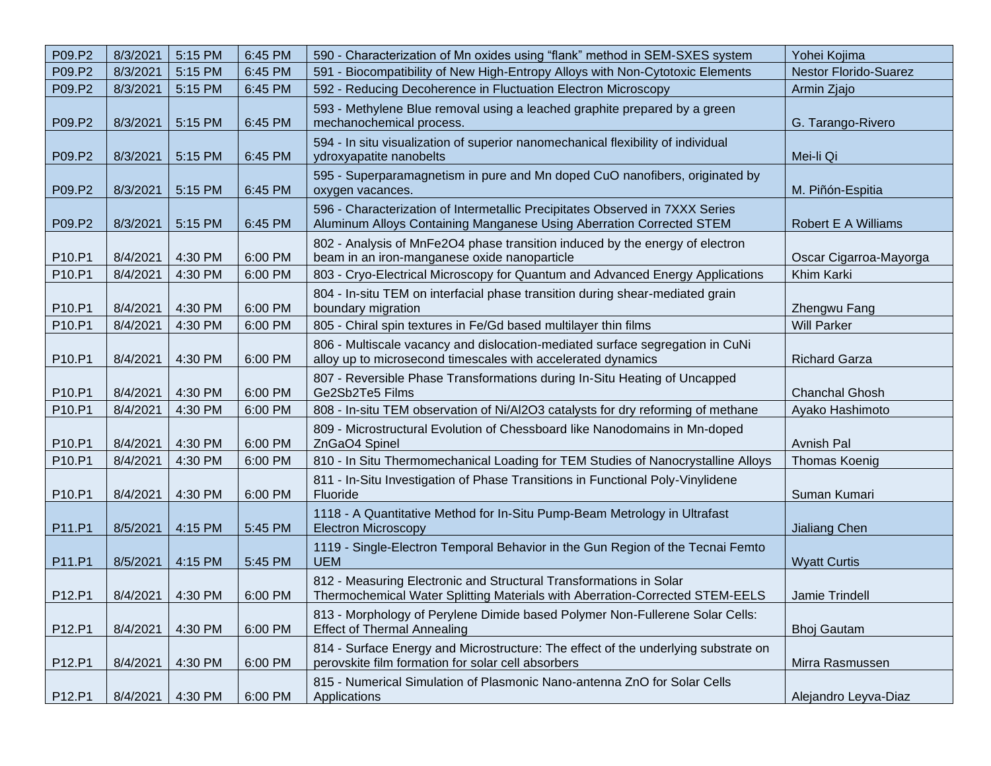| P09.P2 | 8/3/2021 | 5:15 PM | 6:45 PM | 590 - Characterization of Mn oxides using "flank" method in SEM-SXES system                                                                          | Yohei Kojima                 |
|--------|----------|---------|---------|------------------------------------------------------------------------------------------------------------------------------------------------------|------------------------------|
| P09.P2 | 8/3/2021 | 5:15 PM | 6:45 PM | 591 - Biocompatibility of New High-Entropy Alloys with Non-Cytotoxic Elements                                                                        | <b>Nestor Florido-Suarez</b> |
| P09.P2 | 8/3/2021 | 5:15 PM | 6:45 PM | 592 - Reducing Decoherence in Fluctuation Electron Microscopy                                                                                        | Armin Zjajo                  |
| P09.P2 | 8/3/2021 | 5:15 PM | 6:45 PM | 593 - Methylene Blue removal using a leached graphite prepared by a green<br>mechanochemical process.                                                | G. Tarango-Rivero            |
| P09.P2 | 8/3/2021 | 5:15 PM | 6:45 PM | 594 - In situ visualization of superior nanomechanical flexibility of individual<br>ydroxyapatite nanobelts                                          | Mei-li Qi                    |
| P09.P2 | 8/3/2021 | 5:15 PM | 6:45 PM | 595 - Superparamagnetism in pure and Mn doped CuO nanofibers, originated by<br>oxygen vacances.                                                      | M. Piñón-Espitia             |
| P09.P2 | 8/3/2021 | 5:15 PM | 6:45 PM | 596 - Characterization of Intermetallic Precipitates Observed in 7XXX Series<br>Aluminum Alloys Containing Manganese Using Aberration Corrected STEM | Robert E A Williams          |
| P10.P1 | 8/4/2021 | 4:30 PM | 6:00 PM | 802 - Analysis of MnFe2O4 phase transition induced by the energy of electron<br>beam in an iron-manganese oxide nanoparticle                         | Oscar Cigarroa-Mayorga       |
| P10.P1 | 8/4/2021 | 4:30 PM | 6:00 PM | 803 - Cryo-Electrical Microscopy for Quantum and Advanced Energy Applications                                                                        | Khim Karki                   |
| P10.P1 | 8/4/2021 | 4:30 PM | 6:00 PM | 804 - In-situ TEM on interfacial phase transition during shear-mediated grain<br>boundary migration                                                  | Zhengwu Fang                 |
| P10.P1 | 8/4/2021 | 4:30 PM | 6:00 PM | 805 - Chiral spin textures in Fe/Gd based multilayer thin films                                                                                      | <b>Will Parker</b>           |
| P10.P1 | 8/4/2021 | 4:30 PM | 6:00 PM | 806 - Multiscale vacancy and dislocation-mediated surface segregation in CuNi<br>alloy up to microsecond timescales with accelerated dynamics        | <b>Richard Garza</b>         |
| P10.P1 | 8/4/2021 | 4:30 PM | 6:00 PM | 807 - Reversible Phase Transformations during In-Situ Heating of Uncapped<br>Ge2Sb2Te5 Films                                                         | <b>Chanchal Ghosh</b>        |
| P10.P1 | 8/4/2021 | 4:30 PM | 6:00 PM | 808 - In-situ TEM observation of Ni/Al2O3 catalysts for dry reforming of methane                                                                     | Ayako Hashimoto              |
| P10.P1 | 8/4/2021 | 4:30 PM | 6:00 PM | 809 - Microstructural Evolution of Chessboard like Nanodomains in Mn-doped<br>ZnGaO4 Spinel                                                          | <b>Avnish Pal</b>            |
| P10.P1 | 8/4/2021 | 4:30 PM | 6:00 PM | 810 - In Situ Thermomechanical Loading for TEM Studies of Nanocrystalline Alloys                                                                     | <b>Thomas Koenig</b>         |
| P10.P1 | 8/4/2021 | 4:30 PM | 6:00 PM | 811 - In-Situ Investigation of Phase Transitions in Functional Poly-Vinylidene<br>Fluoride                                                           | Suman Kumari                 |
| P11.P1 | 8/5/2021 | 4:15 PM | 5:45 PM | 1118 - A Quantitative Method for In-Situ Pump-Beam Metrology in Ultrafast<br><b>Electron Microscopy</b>                                              | Jialiang Chen                |
| P11.P1 | 8/5/2021 | 4:15 PM | 5:45 PM | 1119 - Single-Electron Temporal Behavior in the Gun Region of the Tecnai Femto<br><b>UEM</b>                                                         | <b>Wyatt Curtis</b>          |
| P12.P1 | 8/4/2021 | 4:30 PM | 6:00 PM | 812 - Measuring Electronic and Structural Transformations in Solar<br>Thermochemical Water Splitting Materials with Aberration-Corrected STEM-EELS   | Jamie Trindell               |
| P12.P1 | 8/4/2021 | 4:30 PM | 6:00 PM | 813 - Morphology of Perylene Dimide based Polymer Non-Fullerene Solar Cells:<br><b>Effect of Thermal Annealing</b>                                   | <b>Bhoj Gautam</b>           |
| P12.P1 | 8/4/2021 | 4:30 PM | 6:00 PM | 814 - Surface Energy and Microstructure: The effect of the underlying substrate on<br>perovskite film formation for solar cell absorbers             | Mirra Rasmussen              |
| P12.P1 | 8/4/2021 | 4:30 PM | 6:00 PM | 815 - Numerical Simulation of Plasmonic Nano-antenna ZnO for Solar Cells<br>Applications                                                             | Alejandro Leyva-Diaz         |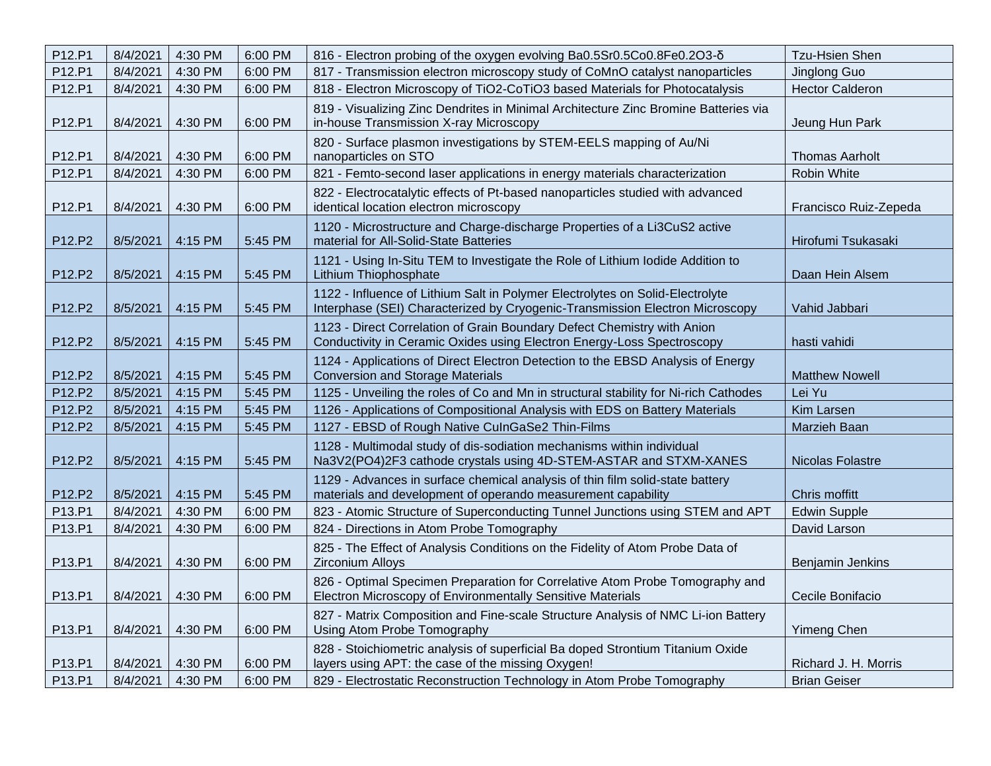| P12.P1 | 8/4/2021 | 4:30 PM | 6:00 PM | 816 - Electron probing of the oxygen evolving Ba0.5Sr0.5Co0.8Fe0.2O3-8                                                                                        | Tzu-Hsien Shen          |
|--------|----------|---------|---------|---------------------------------------------------------------------------------------------------------------------------------------------------------------|-------------------------|
| P12.P1 | 8/4/2021 | 4:30 PM | 6:00 PM | 817 - Transmission electron microscopy study of CoMnO catalyst nanoparticles                                                                                  | Jinglong Guo            |
| P12.P1 | 8/4/2021 | 4:30 PM | 6:00 PM | 818 - Electron Microscopy of TiO2-CoTiO3 based Materials for Photocatalysis                                                                                   | <b>Hector Calderon</b>  |
| P12.P1 | 8/4/2021 | 4:30 PM | 6:00 PM | 819 - Visualizing Zinc Dendrites in Minimal Architecture Zinc Bromine Batteries via<br>in-house Transmission X-ray Microscopy                                 | Jeung Hun Park          |
| P12.P1 | 8/4/2021 | 4:30 PM | 6:00 PM | 820 - Surface plasmon investigations by STEM-EELS mapping of Au/Ni<br>nanoparticles on STO                                                                    | <b>Thomas Aarholt</b>   |
| P12.P1 | 8/4/2021 | 4:30 PM | 6:00 PM | 821 - Femto-second laser applications in energy materials characterization                                                                                    | Robin White             |
| P12.P1 | 8/4/2021 | 4:30 PM | 6:00 PM | 822 - Electrocatalytic effects of Pt-based nanoparticles studied with advanced<br>identical location electron microscopy                                      | Francisco Ruiz-Zepeda   |
| P12.P2 | 8/5/2021 | 4:15 PM | 5:45 PM | 1120 - Microstructure and Charge-discharge Properties of a Li3CuS2 active<br>material for All-Solid-State Batteries                                           | Hirofumi Tsukasaki      |
| P12.P2 | 8/5/2021 | 4:15 PM | 5:45 PM | 1121 - Using In-Situ TEM to Investigate the Role of Lithium lodide Addition to<br>Lithium Thiophosphate                                                       | Daan Hein Alsem         |
| P12.P2 | 8/5/2021 | 4:15 PM | 5:45 PM | 1122 - Influence of Lithium Salt in Polymer Electrolytes on Solid-Electrolyte<br>Interphase (SEI) Characterized by Cryogenic-Transmission Electron Microscopy | Vahid Jabbari           |
| P12.P2 | 8/5/2021 | 4:15 PM | 5:45 PM | 1123 - Direct Correlation of Grain Boundary Defect Chemistry with Anion<br>Conductivity in Ceramic Oxides using Electron Energy-Loss Spectroscopy             | hasti vahidi            |
| P12.P2 | 8/5/2021 | 4:15 PM | 5:45 PM | 1124 - Applications of Direct Electron Detection to the EBSD Analysis of Energy<br><b>Conversion and Storage Materials</b>                                    | <b>Matthew Nowell</b>   |
| P12.P2 | 8/5/2021 | 4:15 PM | 5:45 PM | 1125 - Unveiling the roles of Co and Mn in structural stability for Ni-rich Cathodes                                                                          | Lei Yu                  |
| P12.P2 | 8/5/2021 | 4:15 PM | 5:45 PM | 1126 - Applications of Compositional Analysis with EDS on Battery Materials                                                                                   | Kim Larsen              |
| P12.P2 | 8/5/2021 | 4:15 PM | 5:45 PM | 1127 - EBSD of Rough Native CulnGaSe2 Thin-Films                                                                                                              | Marzieh Baan            |
| P12.P2 | 8/5/2021 | 4:15 PM | 5:45 PM | 1128 - Multimodal study of dis-sodiation mechanisms within individual<br>Na3V2(PO4)2F3 cathode crystals using 4D-STEM-ASTAR and STXM-XANES                    | <b>Nicolas Folastre</b> |
| P12.P2 | 8/5/2021 | 4:15 PM | 5:45 PM | 1129 - Advances in surface chemical analysis of thin film solid-state battery<br>materials and development of operando measurement capability                 | Chris moffitt           |
| P13.P1 | 8/4/2021 | 4:30 PM | 6:00 PM | 823 - Atomic Structure of Superconducting Tunnel Junctions using STEM and APT                                                                                 | <b>Edwin Supple</b>     |
| P13.P1 | 8/4/2021 | 4:30 PM | 6:00 PM | 824 - Directions in Atom Probe Tomography                                                                                                                     | David Larson            |
| P13.P1 | 8/4/2021 | 4:30 PM | 6:00 PM | 825 - The Effect of Analysis Conditions on the Fidelity of Atom Probe Data of<br><b>Zirconium Alloys</b>                                                      | Benjamin Jenkins        |
| P13.P1 | 8/4/2021 | 4:30 PM | 6:00 PM | 826 - Optimal Specimen Preparation for Correlative Atom Probe Tomography and<br>Electron Microscopy of Environmentally Sensitive Materials                    | Cecile Bonifacio        |
| P13.P1 | 8/4/2021 | 4:30 PM | 6:00 PM | 827 - Matrix Composition and Fine-scale Structure Analysis of NMC Li-ion Battery<br>Using Atom Probe Tomography                                               | <b>Yimeng Chen</b>      |
| P13.P1 | 8/4/2021 | 4:30 PM | 6:00 PM | 828 - Stoichiometric analysis of superficial Ba doped Strontium Titanium Oxide<br>layers using APT: the case of the missing Oxygen!                           | Richard J. H. Morris    |
| P13.P1 | 8/4/2021 | 4:30 PM | 6:00 PM | 829 - Electrostatic Reconstruction Technology in Atom Probe Tomography                                                                                        | <b>Brian Geiser</b>     |